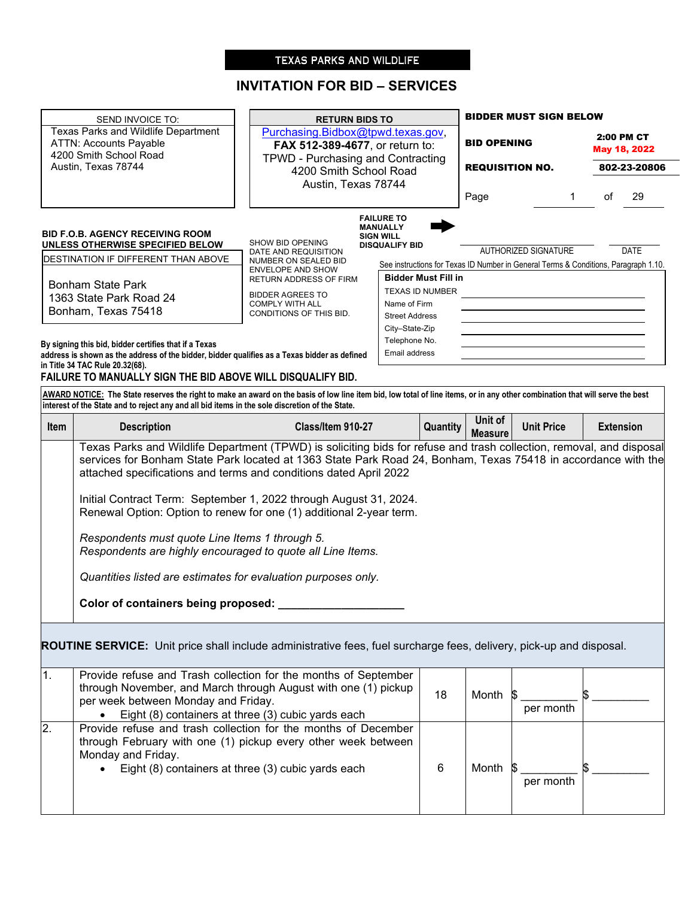# TEXAS PARKS AND WILDLIFE

# **INVITATION FOR BID – SERVICES**

 $\overline{\phantom{0}}$ 

|                                                                                                                                                                                                                                                                                                                                                                                                                                                                                                                                                        | SEND INVOICE TO:                                                                                                                                                                                                                                                               | <b>RETURN BIDS TO</b>                                       |                                           |                                 |                           | <b>BIDDER MUST SIGN BELOW</b>                                                                               |                    |                  |
|--------------------------------------------------------------------------------------------------------------------------------------------------------------------------------------------------------------------------------------------------------------------------------------------------------------------------------------------------------------------------------------------------------------------------------------------------------------------------------------------------------------------------------------------------------|--------------------------------------------------------------------------------------------------------------------------------------------------------------------------------------------------------------------------------------------------------------------------------|-------------------------------------------------------------|-------------------------------------------|---------------------------------|---------------------------|-------------------------------------------------------------------------------------------------------------|--------------------|------------------|
|                                                                                                                                                                                                                                                                                                                                                                                                                                                                                                                                                        | Texas Parks and Wildlife Department                                                                                                                                                                                                                                            | Purchasing.Bidbox@tpwd.texas.gov,                           |                                           |                                 |                           |                                                                                                             |                    | 2:00 PM CT       |
|                                                                                                                                                                                                                                                                                                                                                                                                                                                                                                                                                        | <b>ATTN: Accounts Payable</b><br>4200 Smith School Road                                                                                                                                                                                                                        | FAX 512-389-4677, or return to:                             |                                           |                                 | <b>BID OPENING</b>        |                                                                                                             |                    | May 18, 2022     |
|                                                                                                                                                                                                                                                                                                                                                                                                                                                                                                                                                        | Austin, Texas 78744                                                                                                                                                                                                                                                            | TPWD - Purchasing and Contracting<br>4200 Smith School Road |                                           |                                 | <b>REQUISITION NO.</b>    |                                                                                                             |                    | 802-23-20806     |
|                                                                                                                                                                                                                                                                                                                                                                                                                                                                                                                                                        |                                                                                                                                                                                                                                                                                | Austin, Texas 78744                                         |                                           |                                 |                           |                                                                                                             |                    |                  |
|                                                                                                                                                                                                                                                                                                                                                                                                                                                                                                                                                        |                                                                                                                                                                                                                                                                                |                                                             |                                           |                                 | Page                      |                                                                                                             | $\mathbf{1}$<br>of | 29               |
|                                                                                                                                                                                                                                                                                                                                                                                                                                                                                                                                                        |                                                                                                                                                                                                                                                                                |                                                             | <b>FAILURE TO</b><br><b>MANUALLY</b>      |                                 |                           |                                                                                                             |                    |                  |
|                                                                                                                                                                                                                                                                                                                                                                                                                                                                                                                                                        | <b>BID F.O.B. AGENCY RECEIVING ROOM</b><br>UNLESS OTHERWISE SPECIFIED BELOW                                                                                                                                                                                                    | SHOW BID OPENING                                            | <b>SIGN WILL</b><br><b>DISQUALIFY BID</b> |                                 |                           |                                                                                                             |                    |                  |
|                                                                                                                                                                                                                                                                                                                                                                                                                                                                                                                                                        | DESTINATION IF DIFFERENT THAN ABOVE                                                                                                                                                                                                                                            | DATE AND REQUISITION<br>NUMBER ON SEALED BID                |                                           |                                 |                           | AUTHORIZED SIGNATURE<br>See instructions for Texas ID Number in General Terms & Conditions, Paragraph 1.10. |                    | DATE             |
|                                                                                                                                                                                                                                                                                                                                                                                                                                                                                                                                                        |                                                                                                                                                                                                                                                                                | <b>ENVELOPE AND SHOW</b><br>RETURN ADDRESS OF FIRM          |                                           | <b>Bidder Must Fill in</b>      |                           |                                                                                                             |                    |                  |
|                                                                                                                                                                                                                                                                                                                                                                                                                                                                                                                                                        | <b>Bonham State Park</b>                                                                                                                                                                                                                                                       | <b>BIDDER AGREES TO</b>                                     |                                           | TEXAS ID NUMBER                 |                           |                                                                                                             |                    |                  |
|                                                                                                                                                                                                                                                                                                                                                                                                                                                                                                                                                        | 1363 State Park Road 24                                                                                                                                                                                                                                                        | <b>COMPLY WITH ALL</b>                                      | Name of Firm                              |                                 |                           |                                                                                                             |                    |                  |
|                                                                                                                                                                                                                                                                                                                                                                                                                                                                                                                                                        | Bonham, Texas 75418                                                                                                                                                                                                                                                            | CONDITIONS OF THIS BID.                                     | <b>Street Address</b>                     |                                 |                           |                                                                                                             |                    |                  |
|                                                                                                                                                                                                                                                                                                                                                                                                                                                                                                                                                        |                                                                                                                                                                                                                                                                                |                                                             |                                           | City-State-Zip<br>Telephone No. |                           |                                                                                                             |                    |                  |
|                                                                                                                                                                                                                                                                                                                                                                                                                                                                                                                                                        | By signing this bid, bidder certifies that if a Texas<br>address is shown as the address of the bidder, bidder qualifies as a Texas bidder as defined                                                                                                                          |                                                             | Email address                             |                                 |                           |                                                                                                             |                    |                  |
|                                                                                                                                                                                                                                                                                                                                                                                                                                                                                                                                                        | in Title 34 TAC Rule 20.32(68).                                                                                                                                                                                                                                                |                                                             |                                           |                                 |                           |                                                                                                             |                    |                  |
|                                                                                                                                                                                                                                                                                                                                                                                                                                                                                                                                                        | FAILURE TO MANUALLY SIGN THE BID ABOVE WILL DISQUALIFY BID.                                                                                                                                                                                                                    |                                                             |                                           |                                 |                           |                                                                                                             |                    |                  |
|                                                                                                                                                                                                                                                                                                                                                                                                                                                                                                                                                        | AWARD NOTICE: The State reserves the right to make an award on the basis of low line item bid, low total of line items, or in any other combination that will serve the best<br>interest of the State and to reject any and all bid items in the sole discretion of the State. |                                                             |                                           |                                 |                           |                                                                                                             |                    |                  |
| Item                                                                                                                                                                                                                                                                                                                                                                                                                                                                                                                                                   | <b>Description</b>                                                                                                                                                                                                                                                             | Class/Item 910-27                                           |                                           | Quantity                        | Unit of<br><b>Measure</b> | <b>Unit Price</b>                                                                                           |                    | <b>Extension</b> |
| services for Bonham State Park located at 1363 State Park Road 24, Bonham, Texas 75418 in accordance with the<br>attached specifications and terms and conditions dated April 2022<br>Initial Contract Term: September 1, 2022 through August 31, 2024.<br>Renewal Option: Option to renew for one (1) additional 2-year term.<br>Respondents must quote Line Items 1 through 5.<br>Respondents are highly encouraged to quote all Line Items.<br>Quantities listed are estimates for evaluation purposes only.<br>Color of containers being proposed: |                                                                                                                                                                                                                                                                                |                                                             |                                           |                                 |                           |                                                                                                             |                    |                  |
|                                                                                                                                                                                                                                                                                                                                                                                                                                                                                                                                                        | <b>ROUTINE SERVICE:</b> Unit price shall include administrative fees, fuel surcharge fees, delivery, pick-up and disposal.                                                                                                                                                     |                                                             |                                           |                                 |                           |                                                                                                             |                    |                  |
| 1.                                                                                                                                                                                                                                                                                                                                                                                                                                                                                                                                                     | Provide refuse and Trash collection for the months of September<br>through November, and March through August with one (1) pickup<br>per week between Monday and Friday.                                                                                                       | Eight (8) containers at three (3) cubic yards each          |                                           | 18                              | Month \$                  | per month                                                                                                   |                    |                  |
| 2.                                                                                                                                                                                                                                                                                                                                                                                                                                                                                                                                                     | Provide refuse and trash collection for the months of December<br>through February with one (1) pickup every other week between<br>Monday and Friday.<br>Eight (8) containers at three (3) cubic yards each                                                                    |                                                             |                                           | 6                               | Month                     | per month                                                                                                   |                    |                  |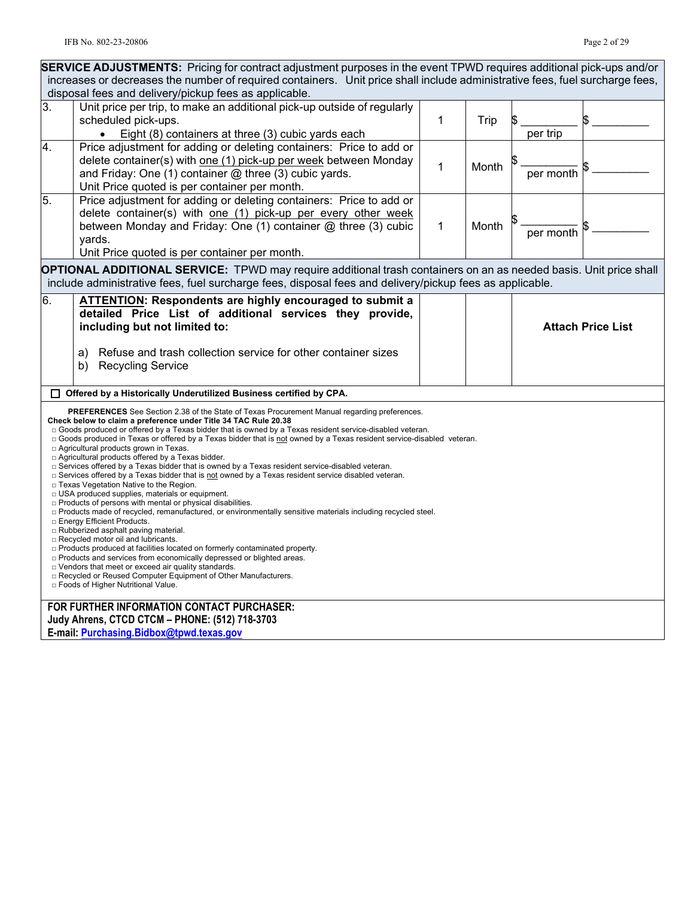| <b>SERVICE ADJUSTMENTS:</b> Pricing for contract adjustment purposes in the event TPWD requires additional pick-ups and/or                                  |                                                                                                                                                                                                                                     |   |       |                          |  |
|-------------------------------------------------------------------------------------------------------------------------------------------------------------|-------------------------------------------------------------------------------------------------------------------------------------------------------------------------------------------------------------------------------------|---|-------|--------------------------|--|
| increases or decreases the number of required containers. Unit price shall include administrative fees, fuel surcharge fees,                                |                                                                                                                                                                                                                                     |   |       |                          |  |
| disposal fees and delivery/pickup fees as applicable.                                                                                                       |                                                                                                                                                                                                                                     |   |       |                          |  |
| $\overline{3}$ .                                                                                                                                            | Unit price per trip, to make an additional pick-up outside of regularly                                                                                                                                                             |   |       |                          |  |
|                                                                                                                                                             | scheduled pick-ups.                                                                                                                                                                                                                 | 1 | Trip  |                          |  |
|                                                                                                                                                             | Eight (8) containers at three (3) cubic yards each<br>$\bullet$                                                                                                                                                                     |   |       | per trip                 |  |
| 4.                                                                                                                                                          | Price adjustment for adding or deleting containers: Price to add or                                                                                                                                                                 |   |       |                          |  |
|                                                                                                                                                             | delete container(s) with one (1) pick-up per week between Monday                                                                                                                                                                    | 1 | Month |                          |  |
|                                                                                                                                                             | and Friday: One (1) container $@$ three (3) cubic yards.                                                                                                                                                                            |   |       | per month                |  |
|                                                                                                                                                             | Unit Price quoted is per container per month.                                                                                                                                                                                       |   |       |                          |  |
| 5.                                                                                                                                                          | Price adjustment for adding or deleting containers: Price to add or                                                                                                                                                                 |   |       |                          |  |
|                                                                                                                                                             | delete container(s) with one (1) pick-up per every other week                                                                                                                                                                       |   |       |                          |  |
|                                                                                                                                                             | between Monday and Friday: One (1) container @ three (3) cubic                                                                                                                                                                      | 1 | Month | per month                |  |
|                                                                                                                                                             | yards.                                                                                                                                                                                                                              |   |       |                          |  |
|                                                                                                                                                             | Unit Price quoted is per container per month.                                                                                                                                                                                       |   |       |                          |  |
|                                                                                                                                                             | <b>OPTIONAL ADDITIONAL SERVICE:</b> TPWD may require additional trash containers on an as needed basis. Unit price shall                                                                                                            |   |       |                          |  |
|                                                                                                                                                             | include administrative fees, fuel surcharge fees, disposal fees and delivery/pickup fees as applicable.                                                                                                                             |   |       |                          |  |
| 6.                                                                                                                                                          | ATTENTION: Respondents are highly encouraged to submit a                                                                                                                                                                            |   |       |                          |  |
|                                                                                                                                                             | detailed Price List of additional services they provide,                                                                                                                                                                            |   |       |                          |  |
|                                                                                                                                                             | including but not limited to:                                                                                                                                                                                                       |   |       | <b>Attach Price List</b> |  |
|                                                                                                                                                             |                                                                                                                                                                                                                                     |   |       |                          |  |
|                                                                                                                                                             | Refuse and trash collection service for other container sizes<br>a)                                                                                                                                                                 |   |       |                          |  |
|                                                                                                                                                             | <b>Recycling Service</b><br>b)                                                                                                                                                                                                      |   |       |                          |  |
|                                                                                                                                                             |                                                                                                                                                                                                                                     |   |       |                          |  |
|                                                                                                                                                             | Offered by a Historically Underutilized Business certified by CPA.                                                                                                                                                                  |   |       |                          |  |
|                                                                                                                                                             | <b>PREFERENCES</b> See Section 2.38 of the State of Texas Procurement Manual regarding preferences.                                                                                                                                 |   |       |                          |  |
|                                                                                                                                                             | Check below to claim a preference under Title 34 TAC Rule 20.38                                                                                                                                                                     |   |       |                          |  |
|                                                                                                                                                             | □ Goods produced or offered by a Texas bidder that is owned by a Texas resident service-disabled veteran.<br>□ Goods produced in Texas or offered by a Texas bidder that is not owned by a Texas resident service-disabled veteran. |   |       |                          |  |
|                                                                                                                                                             | □ Agricultural products grown in Texas.                                                                                                                                                                                             |   |       |                          |  |
|                                                                                                                                                             | □ Agricultural products offered by a Texas bidder.                                                                                                                                                                                  |   |       |                          |  |
|                                                                                                                                                             | $\Box$ Services offered by a Texas bidder that is owned by a Texas resident service-disabled veteran.<br>$\Box$ Services offered by a Texas bidder that is not owned by a Texas resident service disabled veteran.                  |   |       |                          |  |
| □ Texas Vegetation Native to the Region.                                                                                                                    |                                                                                                                                                                                                                                     |   |       |                          |  |
|                                                                                                                                                             | □ USA produced supplies, materials or equipment.<br>□ Products of persons with mental or physical disabilities.                                                                                                                     |   |       |                          |  |
| □ Products made of recycled, remanufactured, or environmentally sensitive materials including recycled steel.                                               |                                                                                                                                                                                                                                     |   |       |                          |  |
| □ Energy Efficient Products.<br>□ Rubberized asphalt paving material.                                                                                       |                                                                                                                                                                                                                                     |   |       |                          |  |
| □ Recycled motor oil and lubricants.                                                                                                                        |                                                                                                                                                                                                                                     |   |       |                          |  |
| □ Products produced at facilities located on formerly contaminated property.<br>$\Box$ Products and services from economically depressed or blighted areas. |                                                                                                                                                                                                                                     |   |       |                          |  |
|                                                                                                                                                             | D Vendors that meet or exceed air quality standards.                                                                                                                                                                                |   |       |                          |  |
| □ Recycled or Reused Computer Equipment of Other Manufacturers.                                                                                             |                                                                                                                                                                                                                                     |   |       |                          |  |
| □ Foods of Higher Nutritional Value.                                                                                                                        |                                                                                                                                                                                                                                     |   |       |                          |  |
| FOR FURTHER INFORMATION CONTACT PURCHASER:                                                                                                                  |                                                                                                                                                                                                                                     |   |       |                          |  |
| Judy Ahrens, CTCD CTCM - PHONE: (512) 718-3703                                                                                                              |                                                                                                                                                                                                                                     |   |       |                          |  |
|                                                                                                                                                             | E-mail: Purchasing.Bidbox@tpwd.texas.gov                                                                                                                                                                                            |   |       |                          |  |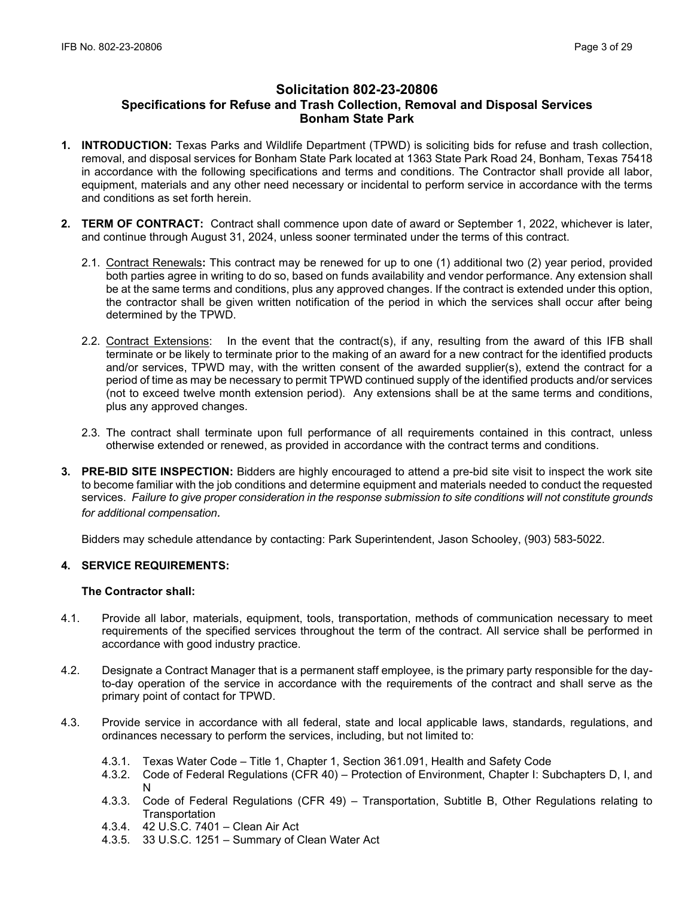# **Solicitation 802-23-20806 Specifications for Refuse and Trash Collection, Removal and Disposal Services Bonham State Park**

- **1. INTRODUCTION:** Texas Parks and Wildlife Department (TPWD) is soliciting bids for refuse and trash collection, removal, and disposal services for Bonham State Park located at 1363 State Park Road 24, Bonham, Texas 75418 in accordance with the following specifications and terms and conditions. The Contractor shall provide all labor, equipment, materials and any other need necessary or incidental to perform service in accordance with the terms and conditions as set forth herein.
- **2. TERM OF CONTRACT:** Contract shall commence upon date of award or September 1, 2022, whichever is later, and continue through August 31, 2024, unless sooner terminated under the terms of this contract.
	- 2.1. Contract Renewals**:** This contract may be renewed for up to one (1) additional two (2) year period, provided both parties agree in writing to do so, based on funds availability and vendor performance. Any extension shall be at the same terms and conditions, plus any approved changes. If the contract is extended under this option, the contractor shall be given written notification of the period in which the services shall occur after being determined by the TPWD.
	- 2.2. Contract Extensions: In the event that the contract(s), if any, resulting from the award of this IFB shall terminate or be likely to terminate prior to the making of an award for a new contract for the identified products and/or services, TPWD may, with the written consent of the awarded supplier(s), extend the contract for a period of time as may be necessary to permit TPWD continued supply of the identified products and/or services (not to exceed twelve month extension period). Any extensions shall be at the same terms and conditions, plus any approved changes.
	- 2.3. The contract shall terminate upon full performance of all requirements contained in this contract, unless otherwise extended or renewed, as provided in accordance with the contract terms and conditions.
- **3. PRE-BID SITE INSPECTION:** Bidders are highly encouraged to attend a pre-bid site visit to inspect the work site to become familiar with the job conditions and determine equipment and materials needed to conduct the requested services. *Failure to give proper consideration in the response submission to site conditions will not constitute grounds for additional compensation.*

Bidders may schedule attendance by contacting: Park Superintendent, Jason Schooley, (903) 583-5022.

## **4. SERVICE REQUIREMENTS:**

#### **The Contractor shall:**

- 4.1. Provide all labor, materials, equipment, tools, transportation, methods of communication necessary to meet requirements of the specified services throughout the term of the contract. All service shall be performed in accordance with good industry practice.
- 4.2. Designate a Contract Manager that is a permanent staff employee, is the primary party responsible for the dayto-day operation of the service in accordance with the requirements of the contract and shall serve as the primary point of contact for TPWD.
- 4.3. Provide service in accordance with all federal, state and local applicable laws, standards, regulations, and ordinances necessary to perform the services, including, but not limited to:
	- 4.3.1. Texas Water Code Title 1, Chapter 1, Section 361.091, Health and Safety Code
	- 4.3.2. Code of Federal Regulations (CFR 40) Protection of Environment, Chapter I: Subchapters D, I, and N
	- 4.3.3. Code of Federal Regulations (CFR 49) Transportation, Subtitle B, Other Regulations relating to **Transportation**
	- 4.3.4. 42 U.S.C. 7401 Clean Air Act
	- 4.3.5. 33 U.S.C. 1251 Summary of Clean Water Act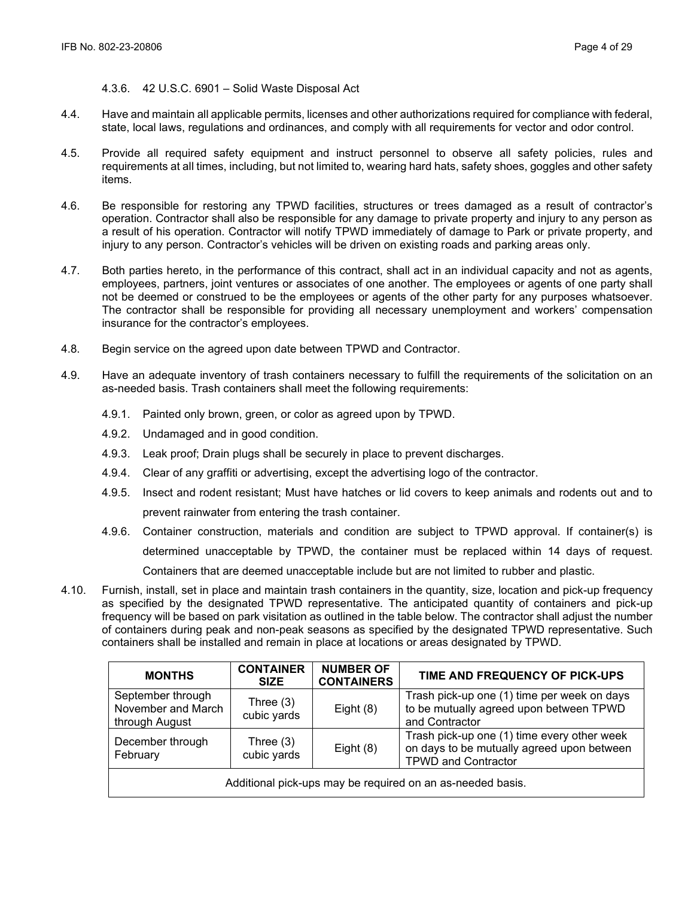#### 4.3.6. 42 U.S.C. 6901 – Solid Waste Disposal Act

- 4.4. Have and maintain all applicable permits, licenses and other authorizations required for compliance with federal, state, local laws, regulations and ordinances, and comply with all requirements for vector and odor control.
- 4.5. Provide all required safety equipment and instruct personnel to observe all safety policies, rules and requirements at all times, including, but not limited to, wearing hard hats, safety shoes, goggles and other safety items.
- 4.6. Be responsible for restoring any TPWD facilities, structures or trees damaged as a result of contractor's operation. Contractor shall also be responsible for any damage to private property and injury to any person as a result of his operation. Contractor will notify TPWD immediately of damage to Park or private property, and injury to any person. Contractor's vehicles will be driven on existing roads and parking areas only.
- 4.7. Both parties hereto, in the performance of this contract, shall act in an individual capacity and not as agents, employees, partners, joint ventures or associates of one another. The employees or agents of one party shall not be deemed or construed to be the employees or agents of the other party for any purposes whatsoever. The contractor shall be responsible for providing all necessary unemployment and workers' compensation insurance for the contractor's employees.
- 4.8. Begin service on the agreed upon date between TPWD and Contractor.
- 4.9. Have an adequate inventory of trash containers necessary to fulfill the requirements of the solicitation on an as-needed basis. Trash containers shall meet the following requirements:
	- 4.9.1. Painted only brown, green, or color as agreed upon by TPWD.
	- 4.9.2. Undamaged and in good condition.
	- 4.9.3. Leak proof; Drain plugs shall be securely in place to prevent discharges.
	- 4.9.4. Clear of any graffiti or advertising, except the advertising logo of the contractor.
	- 4.9.5. Insect and rodent resistant; Must have hatches or lid covers to keep animals and rodents out and to prevent rainwater from entering the trash container.
	- 4.9.6. Container construction, materials and condition are subject to TPWD approval. If container(s) is determined unacceptable by TPWD, the container must be replaced within 14 days of request. Containers that are deemed unacceptable include but are not limited to rubber and plastic.
- 4.10. Furnish, install, set in place and maintain trash containers in the quantity, size, location and pick-up frequency as specified by the designated TPWD representative. The anticipated quantity of containers and pick-up frequency will be based on park visitation as outlined in the table below. The contractor shall adjust the number of containers during peak and non-peak seasons as specified by the designated TPWD representative. Such containers shall be installed and remain in place at locations or areas designated by TPWD.

| <b>MONTHS</b>                                                             | <b>CONTAINER</b><br><b>SIZE</b>                            | <b>NUMBER OF</b><br><b>CONTAINERS</b>                                                                                   | TIME AND FREQUENCY OF PICK-UPS                                                                           |  |
|---------------------------------------------------------------------------|------------------------------------------------------------|-------------------------------------------------------------------------------------------------------------------------|----------------------------------------------------------------------------------------------------------|--|
| September through<br>November and March<br>through August                 | Three $(3)$<br>cubic yards                                 | Eight $(8)$                                                                                                             | Trash pick-up one (1) time per week on days<br>to be mutually agreed upon between TPWD<br>and Contractor |  |
| December through<br>Three $(3)$<br>Eight $(8)$<br>cubic yards<br>February |                                                            | Trash pick-up one (1) time every other week<br>on days to be mutually agreed upon between<br><b>TPWD and Contractor</b> |                                                                                                          |  |
|                                                                           | Additional pick-ups may be required on an as-needed basis. |                                                                                                                         |                                                                                                          |  |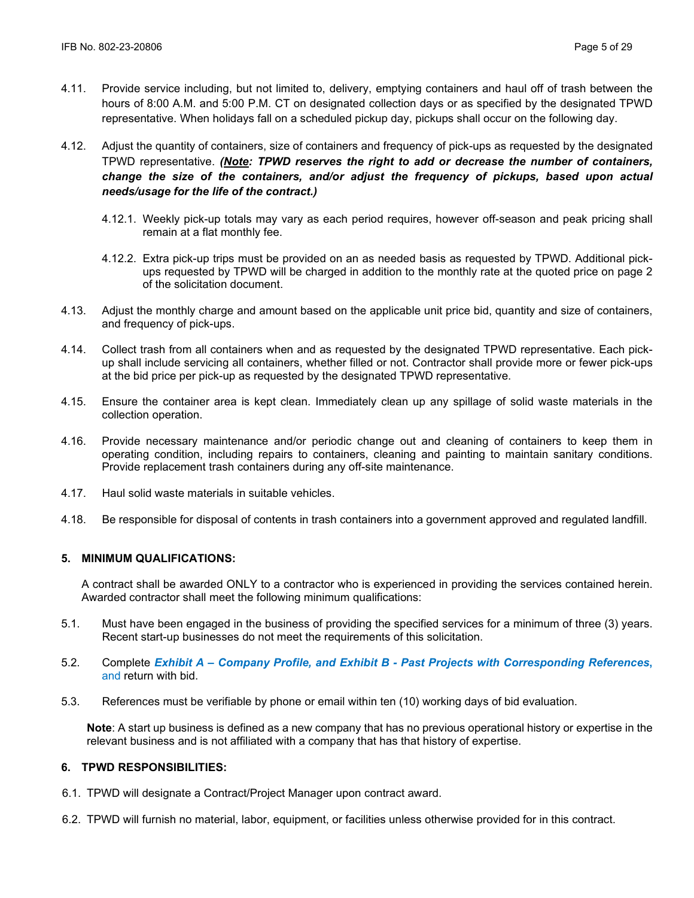- 4.11. Provide service including, but not limited to, delivery, emptying containers and haul off of trash between the hours of 8:00 A.M. and 5:00 P.M. CT on designated collection days or as specified by the designated TPWD representative. When holidays fall on a scheduled pickup day, pickups shall occur on the following day.
- 4.12. Adjust the quantity of containers, size of containers and frequency of pick-ups as requested by the designated TPWD representative. *(Note: TPWD reserves the right to add or decrease the number of containers, change the size of the containers, and/or adjust the frequency of pickups, based upon actual needs/usage for the life of the contract.)*
	- 4.12.1. Weekly pick-up totals may vary as each period requires, however off-season and peak pricing shall remain at a flat monthly fee.
	- 4.12.2. Extra pick-up trips must be provided on an as needed basis as requested by TPWD. Additional pickups requested by TPWD will be charged in addition to the monthly rate at the quoted price on page 2 of the solicitation document.
- 4.13. Adjust the monthly charge and amount based on the applicable unit price bid, quantity and size of containers, and frequency of pick-ups.
- 4.14. Collect trash from all containers when and as requested by the designated TPWD representative. Each pickup shall include servicing all containers, whether filled or not. Contractor shall provide more or fewer pick-ups at the bid price per pick-up as requested by the designated TPWD representative.
- 4.15. Ensure the container area is kept clean. Immediately clean up any spillage of solid waste materials in the collection operation.
- 4.16. Provide necessary maintenance and/or periodic change out and cleaning of containers to keep them in operating condition, including repairs to containers, cleaning and painting to maintain sanitary conditions. Provide replacement trash containers during any off-site maintenance.
- 4.17. Haul solid waste materials in suitable vehicles.
- 4.18. Be responsible for disposal of contents in trash containers into a government approved and regulated landfill.

# **5. MINIMUM QUALIFICATIONS:**

A contract shall be awarded ONLY to a contractor who is experienced in providing the services contained herein. Awarded contractor shall meet the following minimum qualifications:

- 5.1. Must have been engaged in the business of providing the specified services for a minimum of three (3) years. Recent start-up businesses do not meet the requirements of this solicitation.
- 5.2. Complete *Exhibit A Company Profile, and Exhibit B Past Projects with Corresponding References***,**  and return with bid.
- 5.3. References must be verifiable by phone or email within ten (10) working days of bid evaluation.

**Note**: A start up business is defined as a new company that has no previous operational history or expertise in the relevant business and is not affiliated with a company that has that history of expertise.

#### **6. TPWD RESPONSIBILITIES:**

- 6.1. TPWD will designate a Contract/Project Manager upon contract award.
- 6.2. TPWD will furnish no material, labor, equipment, or facilities unless otherwise provided for in this contract.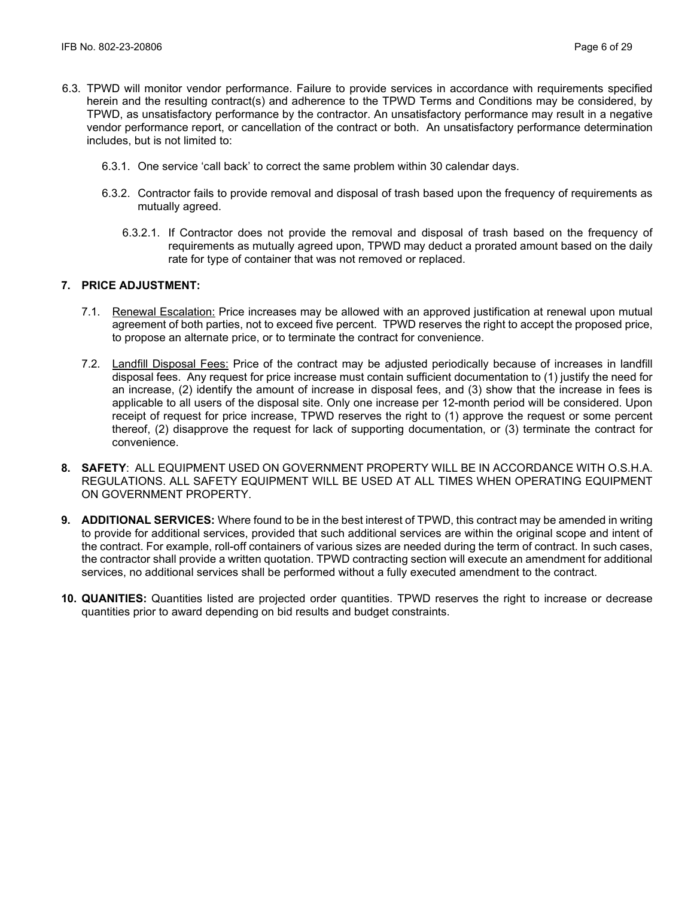- 6.3. TPWD will monitor vendor performance. Failure to provide services in accordance with requirements specified herein and the resulting contract(s) and adherence to the TPWD Terms and Conditions may be considered, by TPWD, as unsatisfactory performance by the contractor. An unsatisfactory performance may result in a negative vendor performance report, or cancellation of the contract or both. An unsatisfactory performance determination includes, but is not limited to:
	- 6.3.1. One service 'call back' to correct the same problem within 30 calendar days.
	- 6.3.2. Contractor fails to provide removal and disposal of trash based upon the frequency of requirements as mutually agreed.
		- 6.3.2.1. If Contractor does not provide the removal and disposal of trash based on the frequency of requirements as mutually agreed upon, TPWD may deduct a prorated amount based on the daily rate for type of container that was not removed or replaced.

## **7. PRICE ADJUSTMENT:**

- 7.1. Renewal Escalation: Price increases may be allowed with an approved justification at renewal upon mutual agreement of both parties, not to exceed five percent. TPWD reserves the right to accept the proposed price, to propose an alternate price, or to terminate the contract for convenience.
- 7.2. Landfill Disposal Fees: Price of the contract may be adjusted periodically because of increases in landfill disposal fees. Any request for price increase must contain sufficient documentation to (1) justify the need for an increase, (2) identify the amount of increase in disposal fees, and (3) show that the increase in fees is applicable to all users of the disposal site. Only one increase per 12-month period will be considered. Upon receipt of request for price increase, TPWD reserves the right to (1) approve the request or some percent thereof, (2) disapprove the request for lack of supporting documentation, or (3) terminate the contract for convenience.
- **8. SAFETY**: ALL EQUIPMENT USED ON GOVERNMENT PROPERTY WILL BE IN ACCORDANCE WITH O.S.H.A. REGULATIONS. ALL SAFETY EQUIPMENT WILL BE USED AT ALL TIMES WHEN OPERATING EQUIPMENT ON GOVERNMENT PROPERTY.
- **9. ADDITIONAL SERVICES:** Where found to be in the best interest of TPWD, this contract may be amended in writing to provide for additional services, provided that such additional services are within the original scope and intent of the contract. For example, roll-off containers of various sizes are needed during the term of contract. In such cases, the contractor shall provide a written quotation. TPWD contracting section will execute an amendment for additional services, no additional services shall be performed without a fully executed amendment to the contract.
- **10. QUANITIES:** Quantities listed are projected order quantities. TPWD reserves the right to increase or decrease quantities prior to award depending on bid results and budget constraints.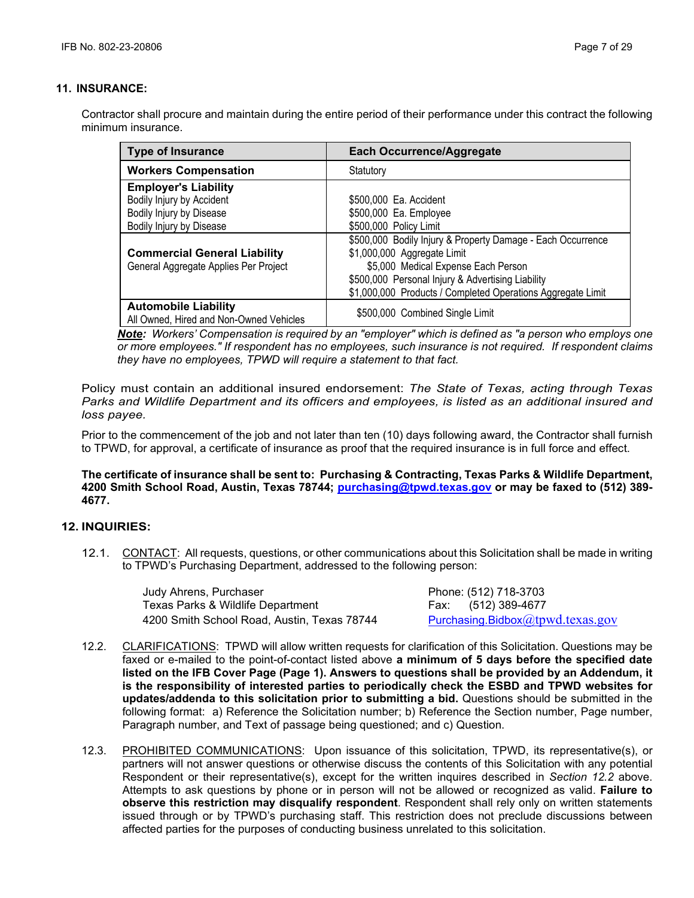## **11. INSURANCE:**

Contractor shall procure and maintain during the entire period of their performance under this contract the following minimum insurance.

| <b>Type of Insurance</b>                                               | <b>Each Occurrence/Aggregate</b>                            |
|------------------------------------------------------------------------|-------------------------------------------------------------|
| <b>Workers Compensation</b>                                            | Statutory                                                   |
| <b>Employer's Liability</b>                                            |                                                             |
| Bodily Injury by Accident                                              | \$500,000 Ea. Accident                                      |
| Bodily Injury by Disease                                               | \$500,000 Ea. Employee                                      |
| Bodily Injury by Disease                                               | \$500,000 Policy Limit                                      |
|                                                                        | \$500,000 Bodily Injury & Property Damage - Each Occurrence |
| <b>Commercial General Liability</b>                                    | \$1,000,000 Aggregate Limit                                 |
| General Aggregate Applies Per Project                                  | \$5,000 Medical Expense Each Person                         |
|                                                                        | \$500,000 Personal Injury & Advertising Liability           |
|                                                                        | \$1,000,000 Products / Completed Operations Aggregate Limit |
| <b>Automobile Liability</b><br>All Owned, Hired and Non-Owned Vehicles | \$500,000 Combined Single Limit                             |

*Note: Workers' Compensation is required by an "employer" which is defined as "a person who employs one or more employees." If respondent has no employees, such insurance is not required. If respondent claims they have no employees, TPWD will require a statement to that fact.*

Policy must contain an additional insured endorsement: *The State of Texas, acting through Texas Parks and Wildlife Department and its officers and employees, is listed as an additional insured and loss payee.*

Prior to the commencement of the job and not later than ten (10) days following award, the Contractor shall furnish to TPWD, for approval, a certificate of insurance as proof that the required insurance is in full force and effect.

**The certificate of insurance shall be sent to: Purchasing & Contracting, Texas Parks & Wildlife Department, 4200 Smith School Road, Austin, Texas 78744; [purchasing@tpwd.texas.gov](mailto:purchasing@tpwd.texas.gov) or may be faxed to (512) 389- 4677.**

## **12. INQUIRIES:**

12.1. CONTACT: All requests, questions, or other communications about this Solicitation shall be made in writing to TPWD's Purchasing Department, addressed to the following person:

> Judy Ahrens, Purchaser **Phone: (512) 718-3703** Texas Parks & Wildlife Department Fax: (512) 389-4677 4200 Smith School Road, Austin, Texas 78744 [Purchasing.Bidbox](mailto:Purchasing.Bidbox@tpwd.texas.gov)[@tpwd.texas.gov](mailto:Purchasing.Bidbox@tpwd.texas.gov)

- 12.2. CLARIFICATIONS: TPWD will allow written requests for clarification of this Solicitation. Questions may be faxed or e-mailed to the point-of-contact listed above **a minimum of 5 days before the specified date listed on the IFB Cover Page (Page 1). Answers to questions shall be provided by an Addendum, it is the responsibility of interested parties to periodically check the ESBD and TPWD websites for updates/addenda to this solicitation prior to submitting a bid.** Questions should be submitted in the following format: a) Reference the Solicitation number; b) Reference the Section number, Page number, Paragraph number, and Text of passage being questioned; and c) Question.
- 12.3. PROHIBITED COMMUNICATIONS: Upon issuance of this solicitation, TPWD, its representative(s), or partners will not answer questions or otherwise discuss the contents of this Solicitation with any potential Respondent or their representative(s), except for the written inquires described in *Section 12.2* above. Attempts to ask questions by phone or in person will not be allowed or recognized as valid. **Failure to observe this restriction may disqualify respondent**. Respondent shall rely only on written statements issued through or by TPWD's purchasing staff. This restriction does not preclude discussions between affected parties for the purposes of conducting business unrelated to this solicitation.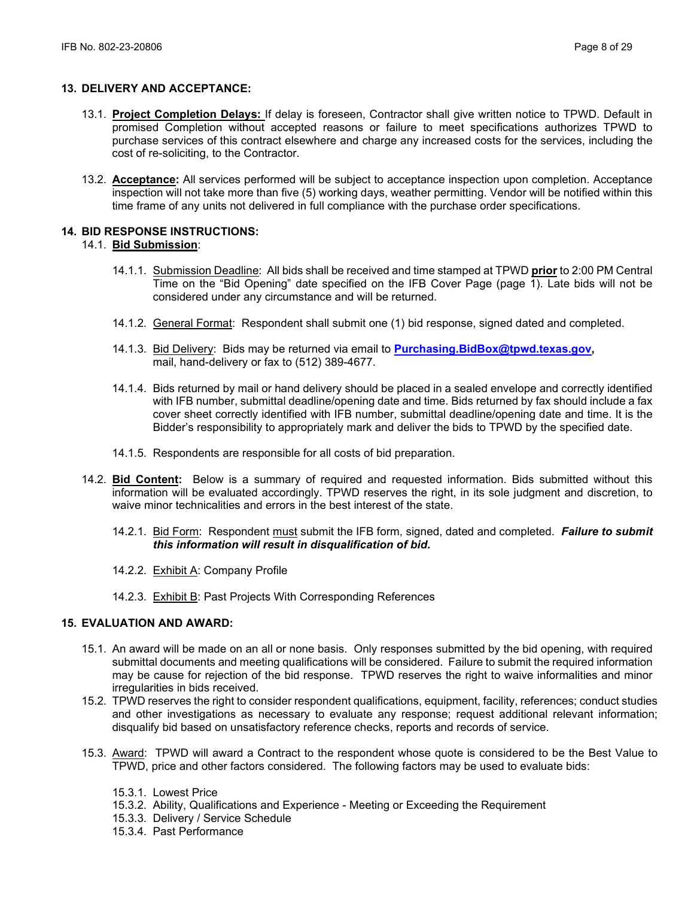## **13. DELIVERY AND ACCEPTANCE:**

- 13.1. **Project Completion Delays:** If delay is foreseen, Contractor shall give written notice to TPWD. Default in promised Completion without accepted reasons or failure to meet specifications authorizes TPWD to purchase services of this contract elsewhere and charge any increased costs for the services, including the cost of re-soliciting, to the Contractor.
- 13.2. **Acceptance:** All services performed will be subject to acceptance inspection upon completion. Acceptance inspection will not take more than five (5) working days, weather permitting. Vendor will be notified within this time frame of any units not delivered in full compliance with the purchase order specifications.

## **14. BID RESPONSE INSTRUCTIONS:**

## 14.1. **Bid Submission**:

- 14.1.1. Submission Deadline: All bids shall be received and time stamped at TPWD **prior** to 2:00 PM Central Time on the "Bid Opening" date specified on the IFB Cover Page (page 1). Late bids will not be considered under any circumstance and will be returned.
- 14.1.2. General Format: Respondent shall submit one (1) bid response, signed dated and completed.
- 14.1.3. Bid Delivery: Bids may be returned via email to **[Purchasing.BidBox@tpwd.texas.gov,](mailto:Purchasing.BidBox@tpwd.texas.gov)**  mail, hand-delivery or fax to (512) 389-4677.
- 14.1.4. Bids returned by mail or hand delivery should be placed in a sealed envelope and correctly identified with IFB number, submittal deadline/opening date and time. Bids returned by fax should include a fax cover sheet correctly identified with IFB number, submittal deadline/opening date and time. It is the Bidder's responsibility to appropriately mark and deliver the bids to TPWD by the specified date.
- 14.1.5. Respondents are responsible for all costs of bid preparation.
- 14.2. **Bid Content:** Below is a summary of required and requested information. Bids submitted without this information will be evaluated accordingly. TPWD reserves the right, in its sole judgment and discretion, to waive minor technicalities and errors in the best interest of the state.
	- 14.2.1. Bid Form: Respondent must submit the IFB form, signed, dated and completed. *Failure to submit this information will result in disqualification of bid.*
	- 14.2.2. Exhibit A: Company Profile
	- 14.2.3. Exhibit B: Past Projects With Corresponding References

## **15. EVALUATION AND AWARD:**

- 15.1. An award will be made on an all or none basis. Only responses submitted by the bid opening, with required submittal documents and meeting qualifications will be considered. Failure to submit the required information may be cause for rejection of the bid response. TPWD reserves the right to waive informalities and minor irregularities in bids received.
- 15.2. TPWD reserves the right to consider respondent qualifications, equipment, facility, references; conduct studies and other investigations as necessary to evaluate any response; request additional relevant information; disqualify bid based on unsatisfactory reference checks, reports and records of service.
- 15.3. Award: TPWD will award a Contract to the respondent whose quote is considered to be the Best Value to TPWD, price and other factors considered. The following factors may be used to evaluate bids:
	- 15.3.1. Lowest Price
	- 15.3.2. Ability, Qualifications and Experience Meeting or Exceeding the Requirement
	- 15.3.3. Delivery / Service Schedule
	- 15.3.4. Past Performance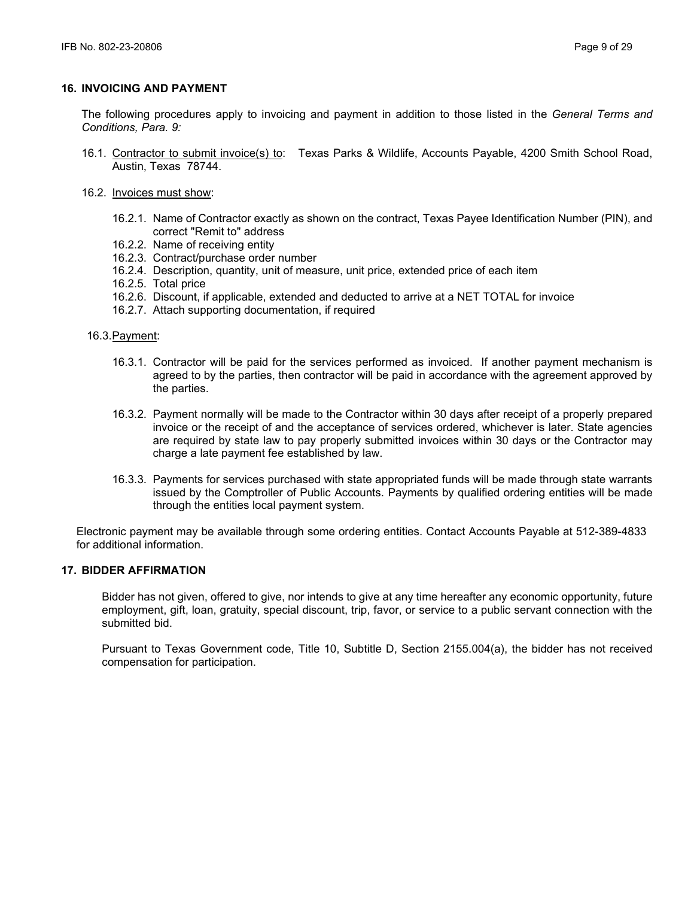## **16. INVOICING AND PAYMENT**

The following procedures apply to invoicing and payment in addition to those listed in the *General Terms and Conditions, Para. 9:*

- 16.1. Contractor to submit invoice(s) to: Texas Parks & Wildlife, Accounts Payable, 4200 Smith School Road, Austin, Texas 78744.
- 16.2. Invoices must show:
	- 16.2.1. Name of Contractor exactly as shown on the contract, Texas Payee Identification Number (PIN), and correct "Remit to" address
	- 16.2.2. Name of receiving entity
	- 16.2.3. Contract/purchase order number
	- 16.2.4. Description, quantity, unit of measure, unit price, extended price of each item
	- 16.2.5. Total price
	- 16.2.6. Discount, if applicable, extended and deducted to arrive at a NET TOTAL for invoice
	- 16.2.7. Attach supporting documentation, if required

16.3.Payment:

- 16.3.1. Contractor will be paid for the services performed as invoiced. If another payment mechanism is agreed to by the parties, then contractor will be paid in accordance with the agreement approved by the parties.
- 16.3.2. Payment normally will be made to the Contractor within 30 days after receipt of a properly prepared invoice or the receipt of and the acceptance of services ordered, whichever is later. State agencies are required by state law to pay properly submitted invoices within 30 days or the Contractor may charge a late payment fee established by law.
- 16.3.3. Payments for services purchased with state appropriated funds will be made through state warrants issued by the Comptroller of Public Accounts. Payments by qualified ordering entities will be made through the entities local payment system.

Electronic payment may be available through some ordering entities. Contact Accounts Payable at 512-389-4833 for additional information.

## **17. BIDDER AFFIRMATION**

Bidder has not given, offered to give, nor intends to give at any time hereafter any economic opportunity, future employment, gift, loan, gratuity, special discount, trip, favor, or service to a public servant connection with the submitted bid.

Pursuant to Texas Government code, Title 10, Subtitle D, Section 2155.004(a), the bidder has not received compensation for participation.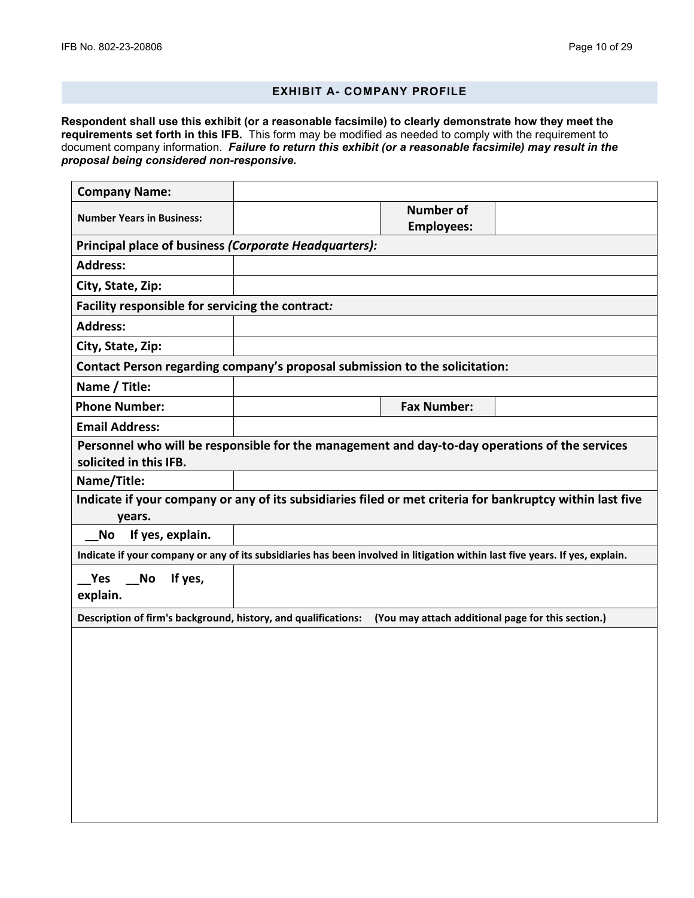## **EXHIBIT A- COMPANY PROFILE**

**Respondent shall use this exhibit (or a reasonable facsimile) to clearly demonstrate how they meet the requirements set forth in this IFB.** This form may be modified as needed to comply with the requirement to document company information. *Failure to return this exhibit (or a reasonable facsimile) may result in the proposal being considered non-responsive.*

| <b>Company Name:</b>                                                                                                         |  |                                       |  |
|------------------------------------------------------------------------------------------------------------------------------|--|---------------------------------------|--|
| <b>Number Years in Business:</b>                                                                                             |  | <b>Number of</b><br><b>Employees:</b> |  |
| Principal place of business (Corporate Headquarters):                                                                        |  |                                       |  |
| <b>Address:</b>                                                                                                              |  |                                       |  |
| City, State, Zip:                                                                                                            |  |                                       |  |
| Facility responsible for servicing the contract:                                                                             |  |                                       |  |
| <b>Address:</b>                                                                                                              |  |                                       |  |
| City, State, Zip:                                                                                                            |  |                                       |  |
| Contact Person regarding company's proposal submission to the solicitation:                                                  |  |                                       |  |
| Name / Title:                                                                                                                |  |                                       |  |
| <b>Phone Number:</b>                                                                                                         |  | <b>Fax Number:</b>                    |  |
| <b>Email Address:</b>                                                                                                        |  |                                       |  |
| Personnel who will be responsible for the management and day-to-day operations of the services<br>solicited in this IFB.     |  |                                       |  |
| Name/Title:                                                                                                                  |  |                                       |  |
| Indicate if your company or any of its subsidiaries filed or met criteria for bankruptcy within last five<br>years.          |  |                                       |  |
| If yes, explain.<br><b>No</b>                                                                                                |  |                                       |  |
| Indicate if your company or any of its subsidiaries has been involved in litigation within last five years. If yes, explain. |  |                                       |  |
| Yes<br><b>No</b><br>If yes,<br>explain.                                                                                      |  |                                       |  |
| Description of firm's background, history, and qualifications: (You may attach additional page for this section.)            |  |                                       |  |
|                                                                                                                              |  |                                       |  |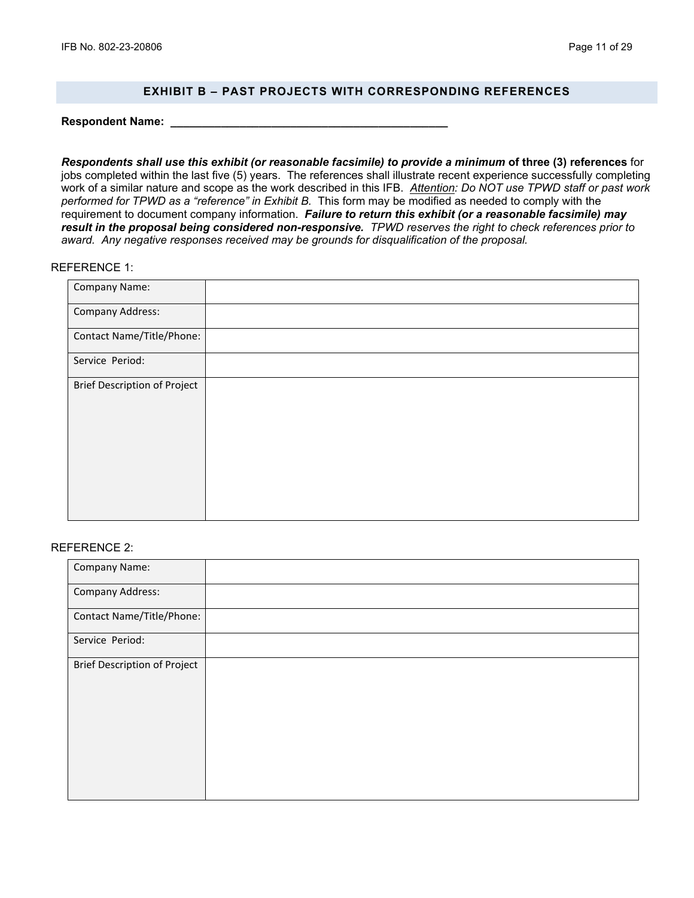## **EXHIBIT B – PAST PROJECTS WITH CORRESPONDING REFERENCES**

**Respondent Name: \_\_\_\_\_\_\_\_\_\_\_\_\_\_\_\_\_\_\_\_\_\_\_\_\_\_\_\_\_\_\_\_\_\_\_\_\_\_\_\_\_\_\_\_**

*Respondents shall use this exhibit (or reasonable facsimile) to provide a minimum* **of three (3) references** for jobs completed within the last five (5) years. The references shall illustrate recent experience successfully completing work of a similar nature and scope as the work described in this IFB. *Attention: Do NOT use TPWD staff or past work performed for TPWD as a "reference" in Exhibit B.* This form may be modified as needed to comply with the requirement to document company information. *Failure to return this exhibit (or a reasonable facsimile) may result in the proposal being considered non-responsive. TPWD reserves the right to check references prior to award. Any negative responses received may be grounds for disqualification of the proposal.*

#### REFERENCE 1:

| Company Name:                |  |
|------------------------------|--|
| Company Address:             |  |
| Contact Name/Title/Phone:    |  |
| Service Period:              |  |
| Brief Description of Project |  |
|                              |  |
|                              |  |
|                              |  |
|                              |  |
|                              |  |

#### REFERENCE 2:

| Company Name:                       |  |
|-------------------------------------|--|
| <b>Company Address:</b>             |  |
| Contact Name/Title/Phone:           |  |
| Service Period:                     |  |
| <b>Brief Description of Project</b> |  |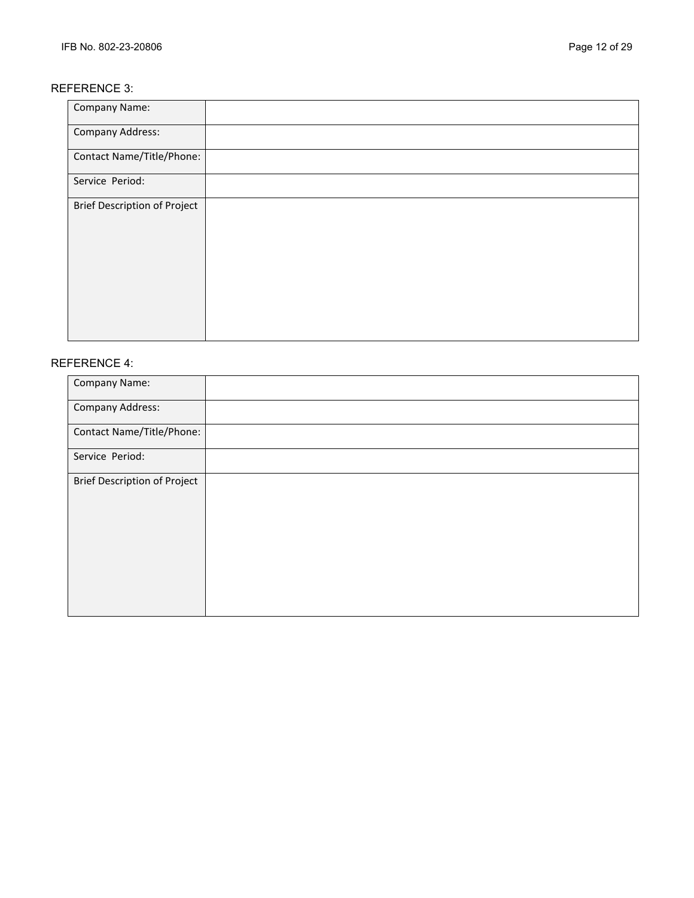## REFERENCE 3:

| <b>Company Name:</b>                |  |
|-------------------------------------|--|
| <b>Company Address:</b>             |  |
| Contact Name/Title/Phone:           |  |
| Service Period:                     |  |
| <b>Brief Description of Project</b> |  |

## REFERENCE 4:

| Company Name:                       |  |
|-------------------------------------|--|
| <b>Company Address:</b>             |  |
| Contact Name/Title/Phone:           |  |
| Service Period:                     |  |
| <b>Brief Description of Project</b> |  |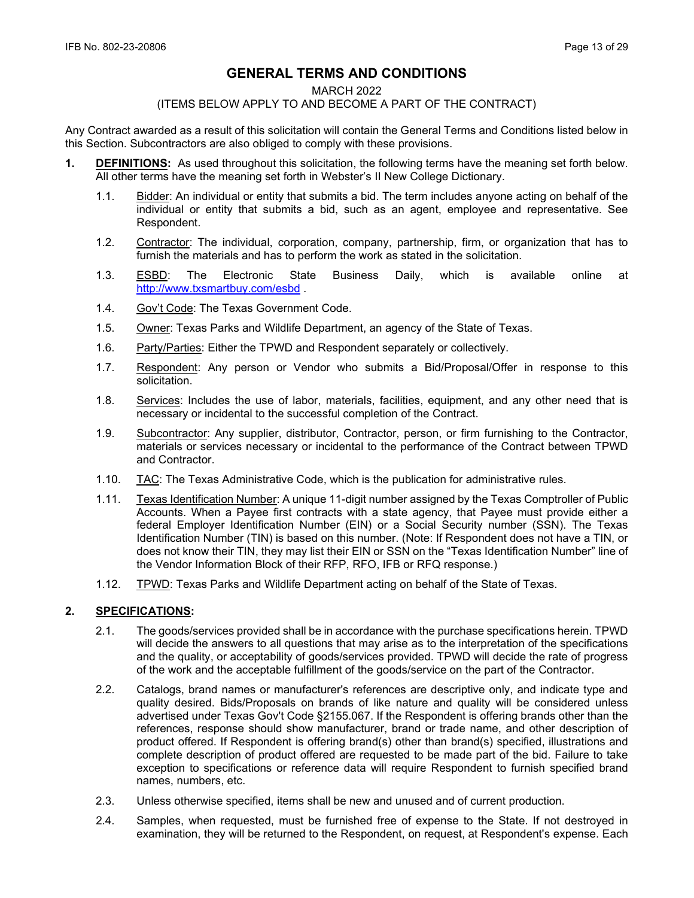# **GENERAL TERMS AND CONDITIONS**

#### MARCH 2022

#### (ITEMS BELOW APPLY TO AND BECOME A PART OF THE CONTRACT)

Any Contract awarded as a result of this solicitation will contain the General Terms and Conditions listed below in this Section. Subcontractors are also obliged to comply with these provisions.

- **1. DEFINITIONS:** As used throughout this solicitation, the following terms have the meaning set forth below. All other terms have the meaning set forth in Webster's II New College Dictionary.
	- 1.1. Bidder: An individual or entity that submits a bid. The term includes anyone acting on behalf of the individual or entity that submits a bid, such as an agent, employee and representative. See Respondent.
	- 1.2. Contractor: The individual, corporation, company, partnership, firm, or organization that has to furnish the materials and has to perform the work as stated in the solicitation.
	- 1.3. ESBD: The Electronic State Business Daily, which is available online at <http://www.txsmartbuy.com/esbd>.
	- 1.4. Gov't Code: The Texas Government Code.
	- 1.5. Owner: Texas Parks and Wildlife Department, an agency of the State of Texas.
	- 1.6. Party/Parties: Either the TPWD and Respondent separately or collectively.
	- 1.7. Respondent: Any person or Vendor who submits a Bid/Proposal/Offer in response to this solicitation.
	- 1.8. Services: Includes the use of labor, materials, facilities, equipment, and any other need that is necessary or incidental to the successful completion of the Contract.
	- 1.9. Subcontractor: Any supplier, distributor, Contractor, person, or firm furnishing to the Contractor, materials or services necessary or incidental to the performance of the Contract between TPWD and Contractor.
	- 1.10. TAC: The Texas Administrative Code, which is the publication for administrative rules.
	- 1.11. Texas Identification Number: A unique 11-digit number assigned by the Texas Comptroller of Public Accounts. When a Payee first contracts with a state agency, that Payee must provide either a federal Employer Identification Number (EIN) or a Social Security number (SSN). The Texas Identification Number (TIN) is based on this number. (Note: If Respondent does not have a TIN, or does not know their TIN, they may list their EIN or SSN on the "Texas Identification Number" line of the Vendor Information Block of their RFP, RFO, IFB or RFQ response.)
	- 1.12. TPWD: Texas Parks and Wildlife Department acting on behalf of the State of Texas.

## **2. SPECIFICATIONS:**

- 2.1. The goods/services provided shall be in accordance with the purchase specifications herein. TPWD will decide the answers to all questions that may arise as to the interpretation of the specifications and the quality, or acceptability of goods/services provided. TPWD will decide the rate of progress of the work and the acceptable fulfillment of the goods/service on the part of the Contractor.
- 2.2. Catalogs, brand names or manufacturer's references are descriptive only, and indicate type and quality desired. Bids/Proposals on brands of like nature and quality will be considered unless advertised under Texas Gov't Code §2155.067. If the Respondent is offering brands other than the references, response should show manufacturer, brand or trade name, and other description of product offered. If Respondent is offering brand(s) other than brand(s) specified, illustrations and complete description of product offered are requested to be made part of the bid. Failure to take exception to specifications or reference data will require Respondent to furnish specified brand names, numbers, etc.
- 2.3. Unless otherwise specified, items shall be new and unused and of current production.
- 2.4. Samples, when requested, must be furnished free of expense to the State. If not destroyed in examination, they will be returned to the Respondent, on request, at Respondent's expense. Each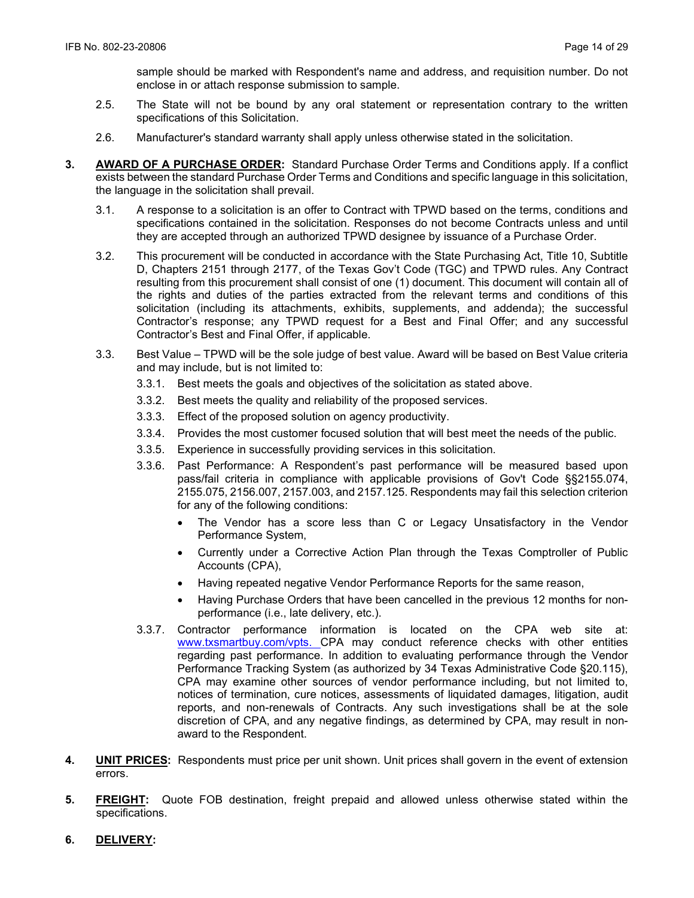sample should be marked with Respondent's name and address, and requisition number. Do not enclose in or attach response submission to sample.

- 2.5. The State will not be bound by any oral statement or representation contrary to the written specifications of this Solicitation.
- 2.6. Manufacturer's standard warranty shall apply unless otherwise stated in the solicitation.
- **3. AWARD OF A PURCHASE ORDER:** Standard Purchase Order Terms and Conditions apply. If a conflict exists between the standard Purchase Order Terms and Conditions and specific language in this solicitation, the language in the solicitation shall prevail.
	- 3.1. A response to a solicitation is an offer to Contract with TPWD based on the terms, conditions and specifications contained in the solicitation. Responses do not become Contracts unless and until they are accepted through an authorized TPWD designee by issuance of a Purchase Order.
	- 3.2. This procurement will be conducted in accordance with the State Purchasing Act, Title 10, Subtitle D, Chapters 2151 through 2177, of the Texas Gov't Code (TGC) and TPWD rules. Any Contract resulting from this procurement shall consist of one (1) document. This document will contain all of the rights and duties of the parties extracted from the relevant terms and conditions of this solicitation (including its attachments, exhibits, supplements, and addenda); the successful Contractor's response; any TPWD request for a Best and Final Offer; and any successful Contractor's Best and Final Offer, if applicable.
	- 3.3. Best Value TPWD will be the sole judge of best value. Award will be based on Best Value criteria and may include, but is not limited to:
		- 3.3.1. Best meets the goals and objectives of the solicitation as stated above.
		- 3.3.2. Best meets the quality and reliability of the proposed services.
		- 3.3.3. Effect of the proposed solution on agency productivity.
		- 3.3.4. Provides the most customer focused solution that will best meet the needs of the public.
		- 3.3.5. Experience in successfully providing services in this solicitation.
		- 3.3.6. Past Performance: A Respondent's past performance will be measured based upon pass/fail criteria in compliance with applicable provisions of Gov't Code §§2155.074, 2155.075, 2156.007, 2157.003, and 2157.125. Respondents may fail this selection criterion for any of the following conditions:
			- The Vendor has a score less than C or Legacy Unsatisfactory in the Vendor Performance System,
			- Currently under a Corrective Action Plan through the Texas Comptroller of Public Accounts (CPA),
			- Having repeated negative Vendor Performance Reports for the same reason,
			- Having Purchase Orders that have been cancelled in the previous 12 months for nonperformance (i.e., late delivery, etc.).
		- 3.3.7. Contractor performance information is located on the CPA web site at: [www.txsmartbuy.com/vpts.](http://www.txsmartbuy.com/vpts) CPA may conduct reference checks with other entities regarding past performance. In addition to evaluating performance through the Vendor Performance Tracking System (as authorized by 34 Texas Administrative Code §20.115), CPA may examine other sources of vendor performance including, but not limited to, notices of termination, cure notices, assessments of liquidated damages, litigation, audit reports, and non-renewals of Contracts. Any such investigations shall be at the sole discretion of CPA, and any negative findings, as determined by CPA, may result in nonaward to the Respondent.
- **4. UNIT PRICES:** Respondents must price per unit shown. Unit prices shall govern in the event of extension errors.
- **5. FREIGHT:** Quote FOB destination, freight prepaid and allowed unless otherwise stated within the specifications.
- **6. DELIVERY:**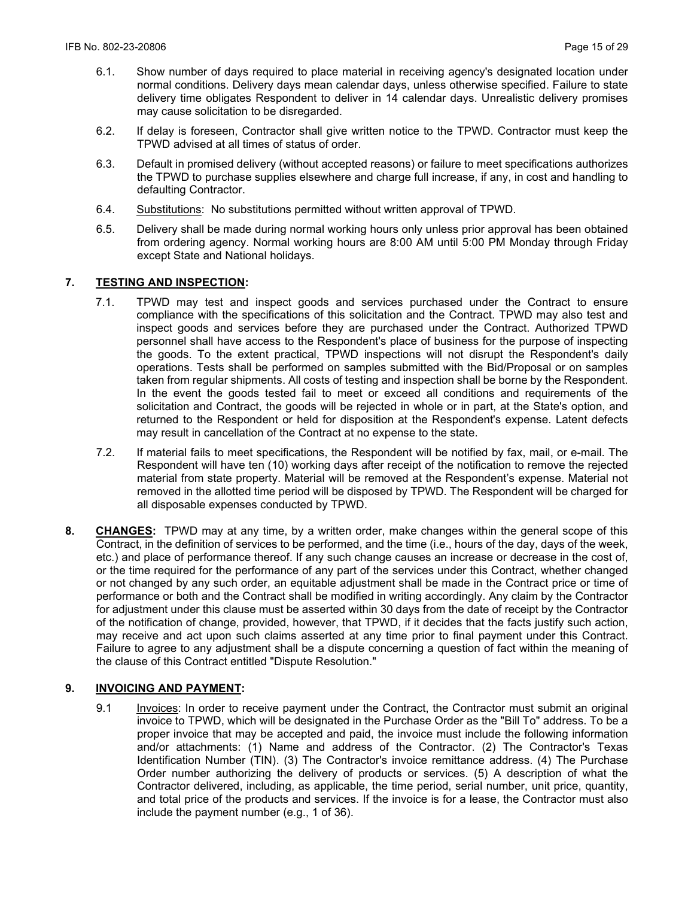- 6.1. Show number of days required to place material in receiving agency's designated location under normal conditions. Delivery days mean calendar days, unless otherwise specified. Failure to state delivery time obligates Respondent to deliver in 14 calendar days. Unrealistic delivery promises may cause solicitation to be disregarded.
- 6.2. If delay is foreseen, Contractor shall give written notice to the TPWD. Contractor must keep the TPWD advised at all times of status of order.
- 6.3. Default in promised delivery (without accepted reasons) or failure to meet specifications authorizes the TPWD to purchase supplies elsewhere and charge full increase, if any, in cost and handling to defaulting Contractor.
- 6.4. Substitutions: No substitutions permitted without written approval of TPWD.
- 6.5. Delivery shall be made during normal working hours only unless prior approval has been obtained from ordering agency. Normal working hours are 8:00 AM until 5:00 PM Monday through Friday except State and National holidays.

## **7. TESTING AND INSPECTION:**

- 7.1. TPWD may test and inspect goods and services purchased under the Contract to ensure compliance with the specifications of this solicitation and the Contract. TPWD may also test and inspect goods and services before they are purchased under the Contract. Authorized TPWD personnel shall have access to the Respondent's place of business for the purpose of inspecting the goods. To the extent practical, TPWD inspections will not disrupt the Respondent's daily operations. Tests shall be performed on samples submitted with the Bid/Proposal or on samples taken from regular shipments. All costs of testing and inspection shall be borne by the Respondent. In the event the goods tested fail to meet or exceed all conditions and requirements of the solicitation and Contract, the goods will be rejected in whole or in part, at the State's option, and returned to the Respondent or held for disposition at the Respondent's expense. Latent defects may result in cancellation of the Contract at no expense to the state.
- 7.2. If material fails to meet specifications, the Respondent will be notified by fax, mail, or e-mail. The Respondent will have ten (10) working days after receipt of the notification to remove the rejected material from state property. Material will be removed at the Respondent's expense. Material not removed in the allotted time period will be disposed by TPWD. The Respondent will be charged for all disposable expenses conducted by TPWD.
- **8. CHANGES:** TPWD may at any time, by a written order, make changes within the general scope of this Contract, in the definition of services to be performed, and the time (i.e., hours of the day, days of the week, etc.) and place of performance thereof. If any such change causes an increase or decrease in the cost of, or the time required for the performance of any part of the services under this Contract, whether changed or not changed by any such order, an equitable adjustment shall be made in the Contract price or time of performance or both and the Contract shall be modified in writing accordingly. Any claim by the Contractor for adjustment under this clause must be asserted within 30 days from the date of receipt by the Contractor of the notification of change, provided, however, that TPWD, if it decides that the facts justify such action, may receive and act upon such claims asserted at any time prior to final payment under this Contract. Failure to agree to any adjustment shall be a dispute concerning a question of fact within the meaning of the clause of this Contract entitled "Dispute Resolution."

#### **9. INVOICING AND PAYMENT:**

9.1 Invoices: In order to receive payment under the Contract, the Contractor must submit an original invoice to TPWD, which will be designated in the Purchase Order as the "Bill To" address. To be a proper invoice that may be accepted and paid, the invoice must include the following information and/or attachments: (1) Name and address of the Contractor. (2) The Contractor's Texas Identification Number (TIN). (3) The Contractor's invoice remittance address. (4) The Purchase Order number authorizing the delivery of products or services. (5) A description of what the Contractor delivered, including, as applicable, the time period, serial number, unit price, quantity, and total price of the products and services. If the invoice is for a lease, the Contractor must also include the payment number (e.g., 1 of 36).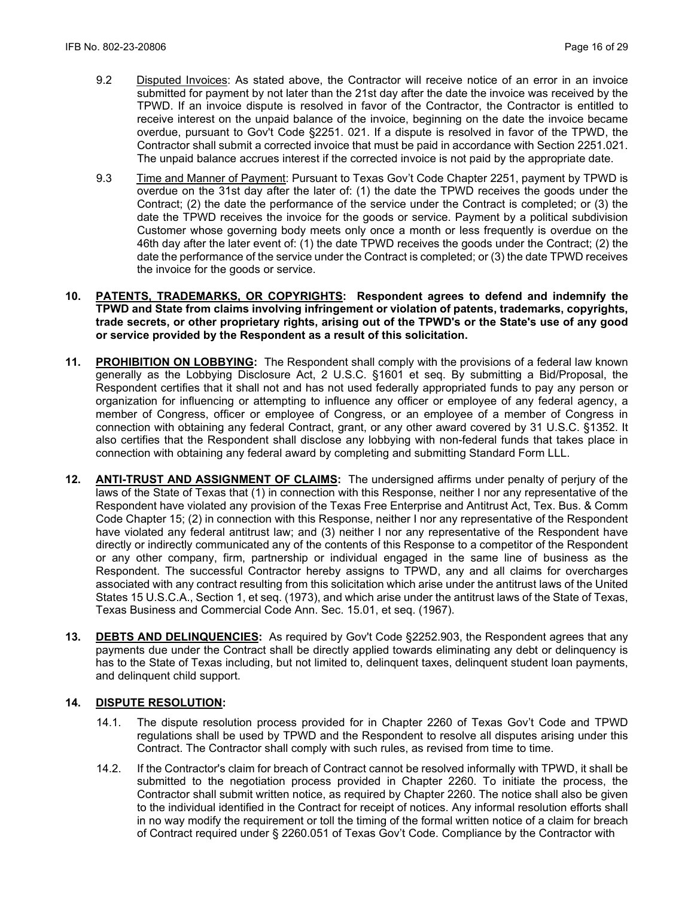- 9.2 Disputed Invoices: As stated above, the Contractor will receive notice of an error in an invoice submitted for payment by not later than the 21st day after the date the invoice was received by the TPWD. If an invoice dispute is resolved in favor of the Contractor, the Contractor is entitled to receive interest on the unpaid balance of the invoice, beginning on the date the invoice became overdue, pursuant to Gov't Code §2251. 021. If a dispute is resolved in favor of the TPWD, the Contractor shall submit a corrected invoice that must be paid in accordance with Section 2251.021. The unpaid balance accrues interest if the corrected invoice is not paid by the appropriate date.
- 9.3 Time and Manner of Payment: Pursuant to Texas Gov't Code Chapter 2251, payment by TPWD is overdue on the 31st day after the later of: (1) the date the TPWD receives the goods under the Contract; (2) the date the performance of the service under the Contract is completed; or (3) the date the TPWD receives the invoice for the goods or service. Payment by a political subdivision Customer whose governing body meets only once a month or less frequently is overdue on the 46th day after the later event of: (1) the date TPWD receives the goods under the Contract; (2) the date the performance of the service under the Contract is completed; or (3) the date TPWD receives the invoice for the goods or service.
- **10. PATENTS, TRADEMARKS, OR COPYRIGHTS: Respondent agrees to defend and indemnify the TPWD and State from claims involving infringement or violation of patents, trademarks, copyrights, trade secrets, or other proprietary rights, arising out of the TPWD's or the State's use of any good or service provided by the Respondent as a result of this solicitation.**
- **11. PROHIBITION ON LOBBYING:** The Respondent shall comply with the provisions of a federal law known generally as the Lobbying Disclosure Act, 2 U.S.C. §1601 et seq. By submitting a Bid/Proposal, the Respondent certifies that it shall not and has not used federally appropriated funds to pay any person or organization for influencing or attempting to influence any officer or employee of any federal agency, a member of Congress, officer or employee of Congress, or an employee of a member of Congress in connection with obtaining any federal Contract, grant, or any other award covered by 31 U.S.C. §1352. It also certifies that the Respondent shall disclose any lobbying with non-federal funds that takes place in connection with obtaining any federal award by completing and submitting Standard Form LLL.
- **12. ANTI-TRUST AND ASSIGNMENT OF CLAIMS:** The undersigned affirms under penalty of perjury of the laws of the State of Texas that (1) in connection with this Response, neither I nor any representative of the Respondent have violated any provision of the Texas Free Enterprise and Antitrust Act, Tex. Bus. & Comm Code Chapter 15; (2) in connection with this Response, neither I nor any representative of the Respondent have violated any federal antitrust law; and (3) neither I nor any representative of the Respondent have directly or indirectly communicated any of the contents of this Response to a competitor of the Respondent or any other company, firm, partnership or individual engaged in the same line of business as the Respondent. The successful Contractor hereby assigns to TPWD, any and all claims for overcharges associated with any contract resulting from this solicitation which arise under the antitrust laws of the United States 15 U.S.C.A., Section 1, et seq. (1973), and which arise under the antitrust laws of the State of Texas, Texas Business and Commercial Code Ann. Sec. 15.01, et seq. (1967).
- **13. DEBTS AND DELINQUENCIES:** As required by Gov't Code §2252.903, the Respondent agrees that any payments due under the Contract shall be directly applied towards eliminating any debt or delinquency is has to the State of Texas including, but not limited to, delinquent taxes, delinquent student loan payments, and delinquent child support.

#### **14. DISPUTE RESOLUTION:**

- 14.1. The dispute resolution process provided for in Chapter 2260 of Texas Gov't Code and TPWD regulations shall be used by TPWD and the Respondent to resolve all disputes arising under this Contract. The Contractor shall comply with such rules, as revised from time to time.
- 14.2. If the Contractor's claim for breach of Contract cannot be resolved informally with TPWD, it shall be submitted to the negotiation process provided in Chapter 2260. To initiate the process, the Contractor shall submit written notice, as required by Chapter 2260. The notice shall also be given to the individual identified in the Contract for receipt of notices. Any informal resolution efforts shall in no way modify the requirement or toll the timing of the formal written notice of a claim for breach of Contract required under § 2260.051 of Texas Gov't Code. Compliance by the Contractor with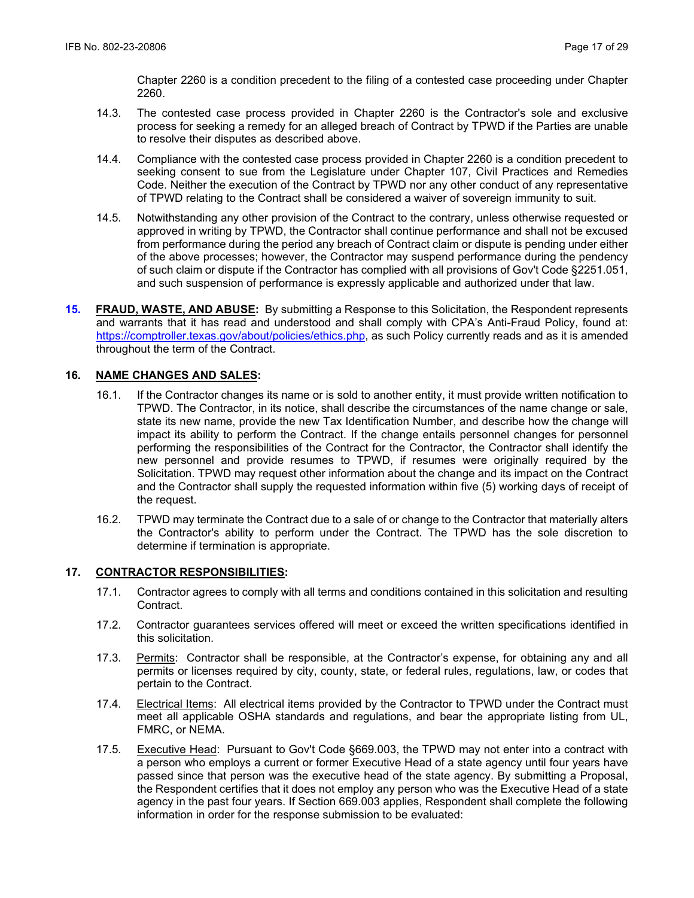Chapter 2260 is a condition precedent to the filing of a contested case proceeding under Chapter 2260.

- 14.3. The contested case process provided in Chapter 2260 is the Contractor's sole and exclusive process for seeking a remedy for an alleged breach of Contract by TPWD if the Parties are unable to resolve their disputes as described above.
- 14.4. Compliance with the contested case process provided in Chapter 2260 is a condition precedent to seeking consent to sue from the Legislature under Chapter 107, Civil Practices and Remedies Code. Neither the execution of the Contract by TPWD nor any other conduct of any representative of TPWD relating to the Contract shall be considered a waiver of sovereign immunity to suit.
- 14.5. Notwithstanding any other provision of the Contract to the contrary, unless otherwise requested or approved in writing by TPWD, the Contractor shall continue performance and shall not be excused from performance during the period any breach of Contract claim or dispute is pending under either of the above processes; however, the Contractor may suspend performance during the pendency of such claim or dispute if the Contractor has complied with all provisions of Gov't Code §2251.051, and such suspension of performance is expressly applicable and authorized under that law.
- **15. FRAUD, WASTE, AND ABUSE:** By submitting a Response to this Solicitation, the Respondent represents and warrants that it has read and understood and shall comply with CPA's Anti-Fraud Policy, found at: https://comptroller.texas.gov/about/policies/ethics.php, as such Policy currently reads and as it is amended throughout the term of the Contract.

## **16. NAME CHANGES AND SALES:**

- 16.1. If the Contractor changes its name or is sold to another entity, it must provide written notification to TPWD. The Contractor, in its notice, shall describe the circumstances of the name change or sale, state its new name, provide the new Tax Identification Number, and describe how the change will impact its ability to perform the Contract. If the change entails personnel changes for personnel performing the responsibilities of the Contract for the Contractor, the Contractor shall identify the new personnel and provide resumes to TPWD, if resumes were originally required by the Solicitation. TPWD may request other information about the change and its impact on the Contract and the Contractor shall supply the requested information within five (5) working days of receipt of the request.
- 16.2. TPWD may terminate the Contract due to a sale of or change to the Contractor that materially alters the Contractor's ability to perform under the Contract. The TPWD has the sole discretion to determine if termination is appropriate.

#### **17. CONTRACTOR RESPONSIBILITIES:**

- 17.1. Contractor agrees to comply with all terms and conditions contained in this solicitation and resulting Contract.
- 17.2. Contractor guarantees services offered will meet or exceed the written specifications identified in this solicitation.
- 17.3. Permits: Contractor shall be responsible, at the Contractor's expense, for obtaining any and all permits or licenses required by city, county, state, or federal rules, regulations, law, or codes that pertain to the Contract.
- 17.4. Electrical Items: All electrical items provided by the Contractor to TPWD under the Contract must meet all applicable OSHA standards and regulations, and bear the appropriate listing from UL, FMRC, or NEMA.
- 17.5. Executive Head: Pursuant to Gov't Code §669.003, the TPWD may not enter into a contract with a person who employs a current or former Executive Head of a state agency until four years have passed since that person was the executive head of the state agency. By submitting a Proposal, the Respondent certifies that it does not employ any person who was the Executive Head of a state agency in the past four years. If Section 669.003 applies, Respondent shall complete the following information in order for the response submission to be evaluated: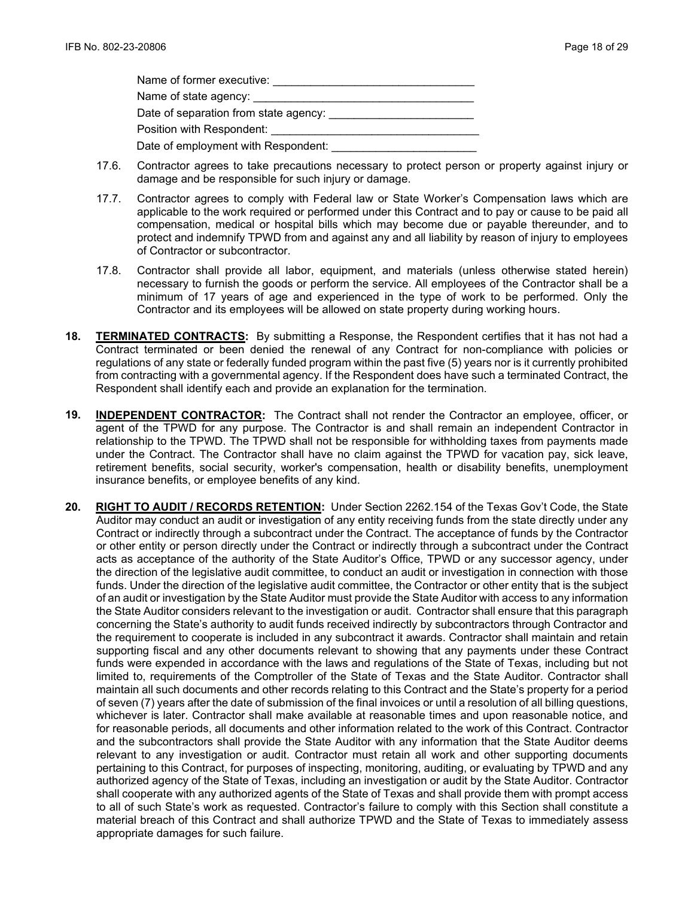| Name of former executive:             |
|---------------------------------------|
| Name of state agency:                 |
| Date of separation from state agency: |
| Position with Respondent:             |
| Date of employment with Respondent:   |

- 17.6. Contractor agrees to take precautions necessary to protect person or property against injury or damage and be responsible for such injury or damage.
- 17.7. Contractor agrees to comply with Federal law or State Worker's Compensation laws which are applicable to the work required or performed under this Contract and to pay or cause to be paid all compensation, medical or hospital bills which may become due or payable thereunder, and to protect and indemnify TPWD from and against any and all liability by reason of injury to employees of Contractor or subcontractor.
- 17.8. Contractor shall provide all labor, equipment, and materials (unless otherwise stated herein) necessary to furnish the goods or perform the service. All employees of the Contractor shall be a minimum of 17 years of age and experienced in the type of work to be performed. Only the Contractor and its employees will be allowed on state property during working hours.
- **18. TERMINATED CONTRACTS:** By submitting a Response, the Respondent certifies that it has not had a Contract terminated or been denied the renewal of any Contract for non-compliance with policies or regulations of any state or federally funded program within the past five (5) years nor is it currently prohibited from contracting with a governmental agency. If the Respondent does have such a terminated Contract, the Respondent shall identify each and provide an explanation for the termination.
- **19. INDEPENDENT CONTRACTOR:** The Contract shall not render the Contractor an employee, officer, or agent of the TPWD for any purpose. The Contractor is and shall remain an independent Contractor in relationship to the TPWD. The TPWD shall not be responsible for withholding taxes from payments made under the Contract. The Contractor shall have no claim against the TPWD for vacation pay, sick leave, retirement benefits, social security, worker's compensation, health or disability benefits, unemployment insurance benefits, or employee benefits of any kind.
- **20. RIGHT TO AUDIT / RECORDS RETENTION:** Under Section 2262.154 of the Texas Gov't Code, the State Auditor may conduct an audit or investigation of any entity receiving funds from the state directly under any Contract or indirectly through a subcontract under the Contract. The acceptance of funds by the Contractor or other entity or person directly under the Contract or indirectly through a subcontract under the Contract acts as acceptance of the authority of the State Auditor's Office, TPWD or any successor agency, under the direction of the legislative audit committee, to conduct an audit or investigation in connection with those funds. Under the direction of the legislative audit committee, the Contractor or other entity that is the subject of an audit or investigation by the State Auditor must provide the State Auditor with access to any information the State Auditor considers relevant to the investigation or audit. Contractor shall ensure that this paragraph concerning the State's authority to audit funds received indirectly by subcontractors through Contractor and the requirement to cooperate is included in any subcontract it awards. Contractor shall maintain and retain supporting fiscal and any other documents relevant to showing that any payments under these Contract funds were expended in accordance with the laws and regulations of the State of Texas, including but not limited to, requirements of the Comptroller of the State of Texas and the State Auditor. Contractor shall maintain all such documents and other records relating to this Contract and the State's property for a period of seven (7) years after the date of submission of the final invoices or until a resolution of all billing questions, whichever is later. Contractor shall make available at reasonable times and upon reasonable notice, and for reasonable periods, all documents and other information related to the work of this Contract. Contractor and the subcontractors shall provide the State Auditor with any information that the State Auditor deems relevant to any investigation or audit. Contractor must retain all work and other supporting documents pertaining to this Contract, for purposes of inspecting, monitoring, auditing, or evaluating by TPWD and any authorized agency of the State of Texas, including an investigation or audit by the State Auditor. Contractor shall cooperate with any authorized agents of the State of Texas and shall provide them with prompt access to all of such State's work as requested. Contractor's failure to comply with this Section shall constitute a material breach of this Contract and shall authorize TPWD and the State of Texas to immediately assess appropriate damages for such failure.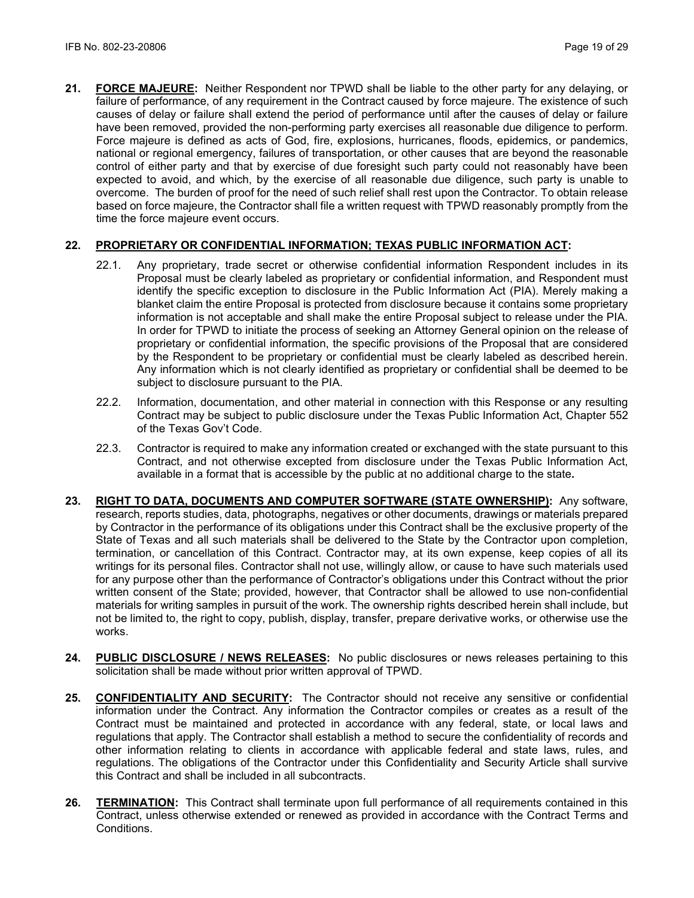**21. FORCE MAJEURE:** Neither Respondent nor TPWD shall be liable to the other party for any delaying, or failure of performance, of any requirement in the Contract caused by force majeure. The existence of such causes of delay or failure shall extend the period of performance until after the causes of delay or failure have been removed, provided the non-performing party exercises all reasonable due diligence to perform. Force majeure is defined as acts of God, fire, explosions, hurricanes, floods, epidemics, or pandemics, national or regional emergency, failures of transportation, or other causes that are beyond the reasonable control of either party and that by exercise of due foresight such party could not reasonably have been expected to avoid, and which, by the exercise of all reasonable due diligence, such party is unable to overcome. The burden of proof for the need of such relief shall rest upon the Contractor. To obtain release based on force majeure, the Contractor shall file a written request with TPWD reasonably promptly from the time the force majeure event occurs.

## **22. PROPRIETARY OR CONFIDENTIAL INFORMATION; TEXAS PUBLIC INFORMATION ACT:**

- 22.1. Any proprietary, trade secret or otherwise confidential information Respondent includes in its Proposal must be clearly labeled as proprietary or confidential information, and Respondent must identify the specific exception to disclosure in the Public Information Act (PIA). Merely making a blanket claim the entire Proposal is protected from disclosure because it contains some proprietary information is not acceptable and shall make the entire Proposal subject to release under the PIA. In order for TPWD to initiate the process of seeking an Attorney General opinion on the release of proprietary or confidential information, the specific provisions of the Proposal that are considered by the Respondent to be proprietary or confidential must be clearly labeled as described herein. Any information which is not clearly identified as proprietary or confidential shall be deemed to be subject to disclosure pursuant to the PIA.
- 22.2. Information, documentation, and other material in connection with this Response or any resulting Contract may be subject to public disclosure under the Texas Public Information Act, Chapter 552 of the Texas Gov't Code.
- 22.3. Contractor is required to make any information created or exchanged with the state pursuant to this Contract, and not otherwise excepted from disclosure under the Texas Public Information Act, available in a format that is accessible by the public at no additional charge to the state**.**
- **23. RIGHT TO DATA, DOCUMENTS AND COMPUTER SOFTWARE (STATE OWNERSHIP):** Any software, research, reports studies, data, photographs, negatives or other documents, drawings or materials prepared by Contractor in the performance of its obligations under this Contract shall be the exclusive property of the State of Texas and all such materials shall be delivered to the State by the Contractor upon completion, termination, or cancellation of this Contract. Contractor may, at its own expense, keep copies of all its writings for its personal files. Contractor shall not use, willingly allow, or cause to have such materials used for any purpose other than the performance of Contractor's obligations under this Contract without the prior written consent of the State; provided, however, that Contractor shall be allowed to use non-confidential materials for writing samples in pursuit of the work. The ownership rights described herein shall include, but not be limited to, the right to copy, publish, display, transfer, prepare derivative works, or otherwise use the works.
- **24. PUBLIC DISCLOSURE / NEWS RELEASES:** No public disclosures or news releases pertaining to this solicitation shall be made without prior written approval of TPWD.
- **25. CONFIDENTIALITY AND SECURITY:** The Contractor should not receive any sensitive or confidential information under the Contract. Any information the Contractor compiles or creates as a result of the Contract must be maintained and protected in accordance with any federal, state, or local laws and regulations that apply. The Contractor shall establish a method to secure the confidentiality of records and other information relating to clients in accordance with applicable federal and state laws, rules, and regulations. The obligations of the Contractor under this Confidentiality and Security Article shall survive this Contract and shall be included in all subcontracts.
- **26. TERMINATION:** This Contract shall terminate upon full performance of all requirements contained in this Contract, unless otherwise extended or renewed as provided in accordance with the Contract Terms and Conditions.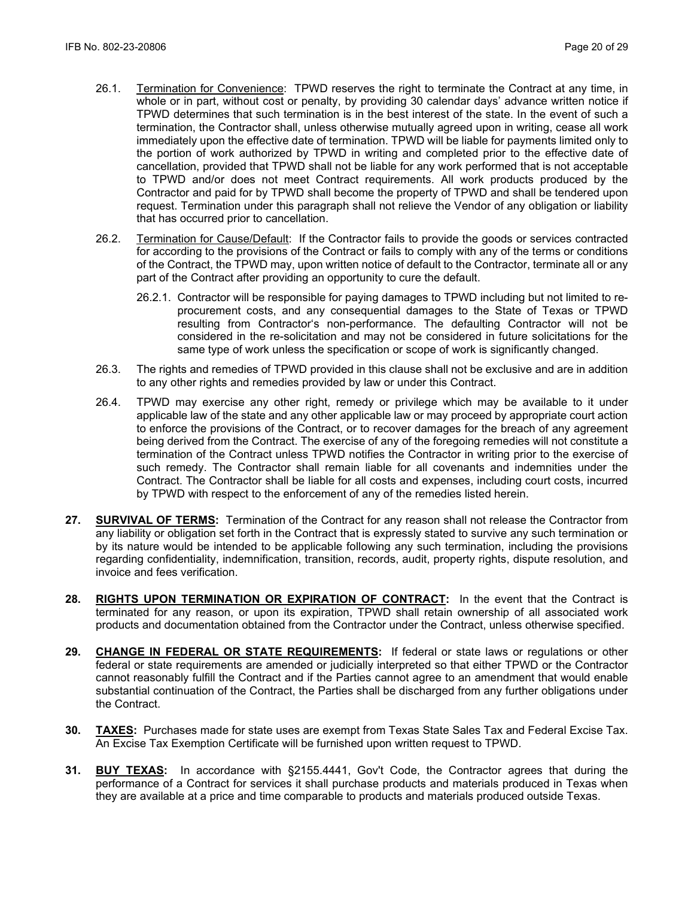- 26.1. Termination for Convenience: TPWD reserves the right to terminate the Contract at any time, in whole or in part, without cost or penalty, by providing 30 calendar days' advance written notice if TPWD determines that such termination is in the best interest of the state. In the event of such a termination, the Contractor shall, unless otherwise mutually agreed upon in writing, cease all work immediately upon the effective date of termination. TPWD will be liable for payments limited only to the portion of work authorized by TPWD in writing and completed prior to the effective date of cancellation, provided that TPWD shall not be liable for any work performed that is not acceptable to TPWD and/or does not meet Contract requirements. All work products produced by the Contractor and paid for by TPWD shall become the property of TPWD and shall be tendered upon request. Termination under this paragraph shall not relieve the Vendor of any obligation or liability that has occurred prior to cancellation.
- 26.2. Termination for Cause/Default: If the Contractor fails to provide the goods or services contracted for according to the provisions of the Contract or fails to comply with any of the terms or conditions of the Contract, the TPWD may, upon written notice of default to the Contractor, terminate all or any part of the Contract after providing an opportunity to cure the default.
	- 26.2.1. Contractor will be responsible for paying damages to TPWD including but not limited to reprocurement costs, and any consequential damages to the State of Texas or TPWD resulting from Contractor's non-performance. The defaulting Contractor will not be considered in the re-solicitation and may not be considered in future solicitations for the same type of work unless the specification or scope of work is significantly changed.
- 26.3. The rights and remedies of TPWD provided in this clause shall not be exclusive and are in addition to any other rights and remedies provided by law or under this Contract.
- 26.4. TPWD may exercise any other right, remedy or privilege which may be available to it under applicable law of the state and any other applicable law or may proceed by appropriate court action to enforce the provisions of the Contract, or to recover damages for the breach of any agreement being derived from the Contract. The exercise of any of the foregoing remedies will not constitute a termination of the Contract unless TPWD notifies the Contractor in writing prior to the exercise of such remedy. The Contractor shall remain liable for all covenants and indemnities under the Contract. The Contractor shall be liable for all costs and expenses, including court costs, incurred by TPWD with respect to the enforcement of any of the remedies listed herein.
- **27. SURVIVAL OF TERMS:** Termination of the Contract for any reason shall not release the Contractor from any liability or obligation set forth in the Contract that is expressly stated to survive any such termination or by its nature would be intended to be applicable following any such termination, including the provisions regarding confidentiality, indemnification, transition, records, audit, property rights, dispute resolution, and invoice and fees verification.
- **28. RIGHTS UPON TERMINATION OR EXPIRATION OF CONTRACT:** In the event that the Contract is terminated for any reason, or upon its expiration, TPWD shall retain ownership of all associated work products and documentation obtained from the Contractor under the Contract, unless otherwise specified.
- **29. CHANGE IN FEDERAL OR STATE REQUIREMENTS:** If federal or state laws or regulations or other federal or state requirements are amended or judicially interpreted so that either TPWD or the Contractor cannot reasonably fulfill the Contract and if the Parties cannot agree to an amendment that would enable substantial continuation of the Contract, the Parties shall be discharged from any further obligations under the Contract.
- **30. TAXES:** Purchases made for state uses are exempt from Texas State Sales Tax and Federal Excise Tax. An Excise Tax Exemption Certificate will be furnished upon written request to TPWD.
- **31. BUY TEXAS:** In accordance with §2155.4441, Gov't Code, the Contractor agrees that during the performance of a Contract for services it shall purchase products and materials produced in Texas when they are available at a price and time comparable to products and materials produced outside Texas.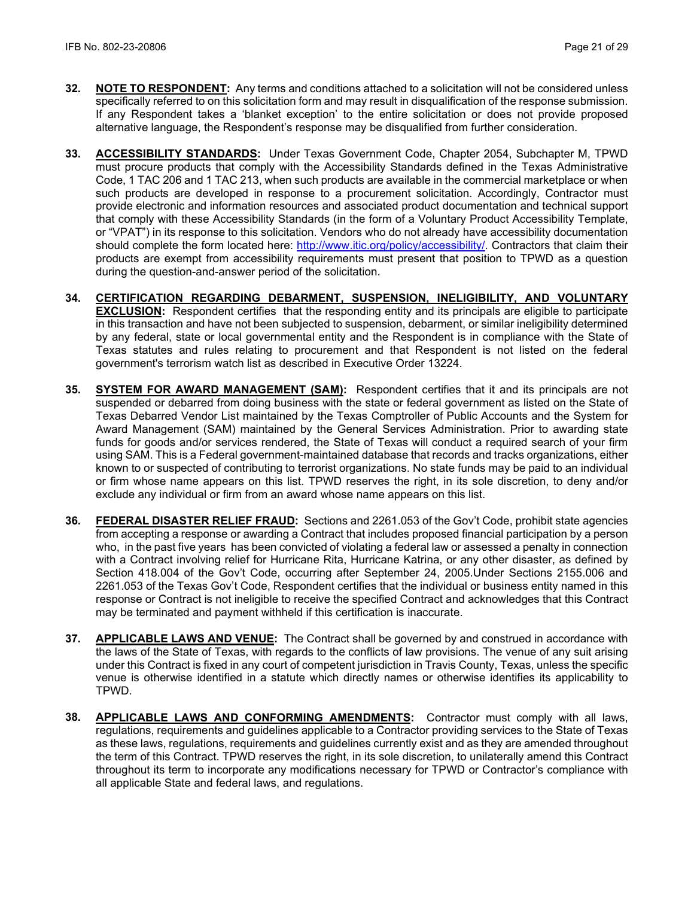- **32. NOTE TO RESPONDENT:** Any terms and conditions attached to a solicitation will not be considered unless specifically referred to on this solicitation form and may result in disqualification of the response submission. If any Respondent takes a 'blanket exception' to the entire solicitation or does not provide proposed alternative language, the Respondent's response may be disqualified from further consideration.
- **33. ACCESSIBILITY STANDARDS:** Under Texas Government Code, Chapter 2054, Subchapter M, TPWD must procure products that comply with the Accessibility Standards defined in the Texas Administrative Code, 1 TAC 206 and 1 TAC 213, when such products are available in the commercial marketplace or when such products are developed in response to a procurement solicitation. Accordingly, Contractor must provide electronic and information resources and associated product documentation and technical support that comply with these Accessibility Standards (in the form of a Voluntary Product Accessibility Template, or "VPAT") in its response to this solicitation. Vendors who do not already have accessibility documentation should complete the form located here: [http://www.itic.org/policy/accessibility/.](http://www.itic.org/policy/accessibility/) Contractors that claim their products are exempt from accessibility requirements must present that position to TPWD as a question during the question-and-answer period of the solicitation.
- **34. CERTIFICATION REGARDING DEBARMENT, SUSPENSION, INELIGIBILITY, AND VOLUNTARY EXCLUSION:** Respondent certifies that the responding entity and its principals are eligible to participate in this transaction and have not been subjected to suspension, debarment, or similar ineligibility determined by any federal, state or local governmental entity and the Respondent is in compliance with the State of Texas statutes and rules relating to procurement and that Respondent is not listed on the federal government's terrorism watch list as described in Executive Order 13224.
- **35. SYSTEM FOR AWARD MANAGEMENT (SAM):** Respondent certifies that it and its principals are not suspended or debarred from doing business with the state or federal government as listed on the State of Texas Debarred Vendor List maintained by the Texas Comptroller of Public Accounts and the System for Award Management (SAM) maintained by the General Services Administration. Prior to awarding state funds for goods and/or services rendered, the State of Texas will conduct a required search of your firm using SAM. This is a Federal government-maintained database that records and tracks organizations, either known to or suspected of contributing to terrorist organizations. No state funds may be paid to an individual or firm whose name appears on this list. TPWD reserves the right, in its sole discretion, to deny and/or exclude any individual or firm from an award whose name appears on this list.
- **36. FEDERAL DISASTER RELIEF FRAUD:** Sections and 2261.053 of the Gov't Code, prohibit state agencies from accepting a response or awarding a Contract that includes proposed financial participation by a person who, in the past five years has been convicted of violating a federal law or assessed a penalty in connection with a Contract involving relief for Hurricane Rita, Hurricane Katrina, or any other disaster, as defined by Section 418.004 of the Gov't Code, occurring after September 24, 2005.Under Sections 2155.006 and 2261.053 of the Texas Gov't Code, Respondent certifies that the individual or business entity named in this response or Contract is not ineligible to receive the specified Contract and acknowledges that this Contract may be terminated and payment withheld if this certification is inaccurate.
- **37. APPLICABLE LAWS AND VENUE:** The Contract shall be governed by and construed in accordance with the laws of the State of Texas, with regards to the conflicts of law provisions. The venue of any suit arising under this Contract is fixed in any court of competent jurisdiction in Travis County, Texas, unless the specific venue is otherwise identified in a statute which directly names or otherwise identifies its applicability to TPWD.
- **38. APPLICABLE LAWS AND CONFORMING AMENDMENTS:** Contractor must comply with all laws, regulations, requirements and guidelines applicable to a Contractor providing services to the State of Texas as these laws, regulations, requirements and guidelines currently exist and as they are amended throughout the term of this Contract. TPWD reserves the right, in its sole discretion, to unilaterally amend this Contract throughout its term to incorporate any modifications necessary for TPWD or Contractor's compliance with all applicable State and federal laws, and regulations.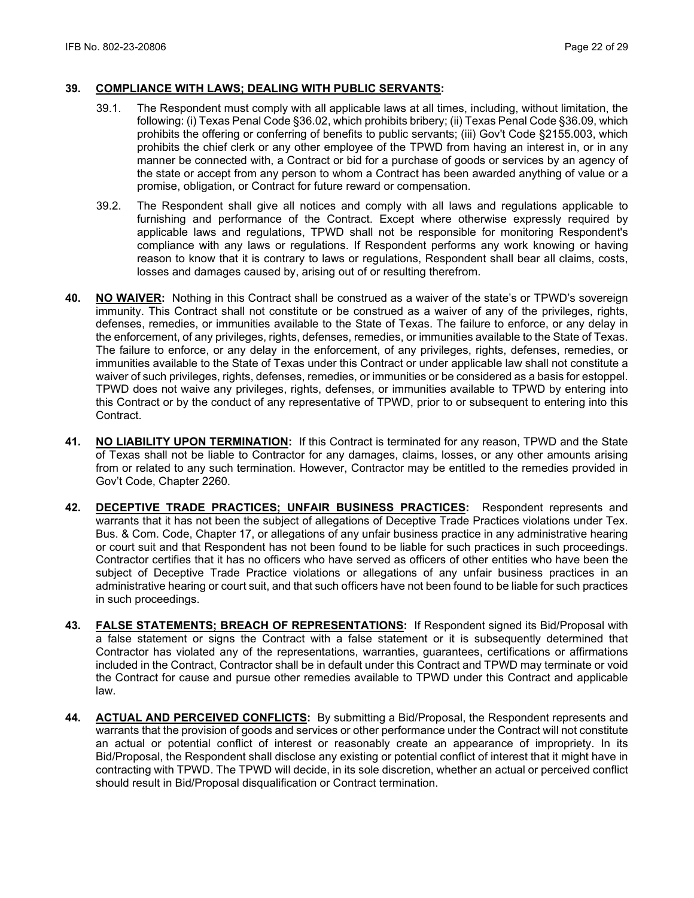#### **39. COMPLIANCE WITH LAWS; DEALING WITH PUBLIC SERVANTS:**

- 39.1. The Respondent must comply with all applicable laws at all times, including, without limitation, the following: (i) Texas Penal Code §36.02, which prohibits bribery; (ii) Texas Penal Code §36.09, which prohibits the offering or conferring of benefits to public servants; (iii) Gov't Code §2155.003, which prohibits the chief clerk or any other employee of the TPWD from having an interest in, or in any manner be connected with, a Contract or bid for a purchase of goods or services by an agency of the state or accept from any person to whom a Contract has been awarded anything of value or a promise, obligation, or Contract for future reward or compensation.
- 39.2. The Respondent shall give all notices and comply with all laws and regulations applicable to furnishing and performance of the Contract. Except where otherwise expressly required by applicable laws and regulations, TPWD shall not be responsible for monitoring Respondent's compliance with any laws or regulations. If Respondent performs any work knowing or having reason to know that it is contrary to laws or regulations, Respondent shall bear all claims, costs, losses and damages caused by, arising out of or resulting therefrom.
- **40. NO WAIVER:** Nothing in this Contract shall be construed as a waiver of the state's or TPWD's sovereign immunity. This Contract shall not constitute or be construed as a waiver of any of the privileges, rights, defenses, remedies, or immunities available to the State of Texas. The failure to enforce, or any delay in the enforcement, of any privileges, rights, defenses, remedies, or immunities available to the State of Texas. The failure to enforce, or any delay in the enforcement, of any privileges, rights, defenses, remedies, or immunities available to the State of Texas under this Contract or under applicable law shall not constitute a waiver of such privileges, rights, defenses, remedies, or immunities or be considered as a basis for estoppel. TPWD does not waive any privileges, rights, defenses, or immunities available to TPWD by entering into this Contract or by the conduct of any representative of TPWD, prior to or subsequent to entering into this Contract.
- **41. NO LIABILITY UPON TERMINATION:** If this Contract is terminated for any reason, TPWD and the State of Texas shall not be liable to Contractor for any damages, claims, losses, or any other amounts arising from or related to any such termination. However, Contractor may be entitled to the remedies provided in Gov't Code, Chapter 2260.
- **42. DECEPTIVE TRADE PRACTICES; UNFAIR BUSINESS PRACTICES:** Respondent represents and warrants that it has not been the subject of allegations of Deceptive Trade Practices violations under Tex. Bus. & Com. Code, Chapter 17, or allegations of any unfair business practice in any administrative hearing or court suit and that Respondent has not been found to be liable for such practices in such proceedings. Contractor certifies that it has no officers who have served as officers of other entities who have been the subject of Deceptive Trade Practice violations or allegations of any unfair business practices in an administrative hearing or court suit, and that such officers have not been found to be liable for such practices in such proceedings.
- **43. FALSE STATEMENTS; BREACH OF REPRESENTATIONS:** If Respondent signed its Bid/Proposal with a false statement or signs the Contract with a false statement or it is subsequently determined that Contractor has violated any of the representations, warranties, guarantees, certifications or affirmations included in the Contract, Contractor shall be in default under this Contract and TPWD may terminate or void the Contract for cause and pursue other remedies available to TPWD under this Contract and applicable law.
- **44. ACTUAL AND PERCEIVED CONFLICTS:** By submitting a Bid/Proposal, the Respondent represents and warrants that the provision of goods and services or other performance under the Contract will not constitute an actual or potential conflict of interest or reasonably create an appearance of impropriety. In its Bid/Proposal, the Respondent shall disclose any existing or potential conflict of interest that it might have in contracting with TPWD. The TPWD will decide, in its sole discretion, whether an actual or perceived conflict should result in Bid/Proposal disqualification or Contract termination.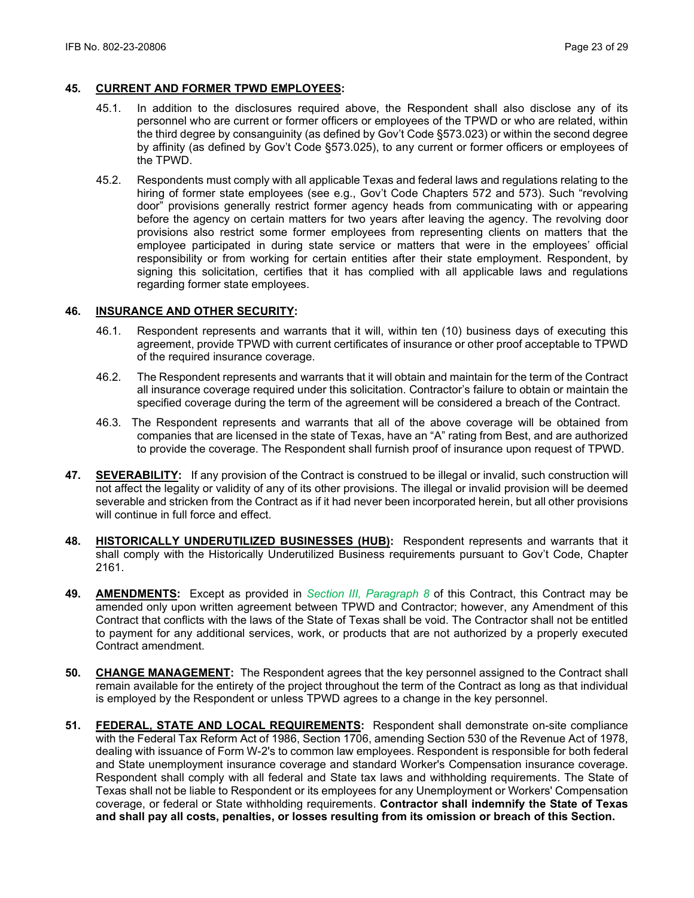#### **45. CURRENT AND FORMER TPWD EMPLOYEES:**

- 45.1. In addition to the disclosures required above, the Respondent shall also disclose any of its personnel who are current or former officers or employees of the TPWD or who are related, within the third degree by consanguinity (as defined by Gov't Code §573.023) or within the second degree by affinity (as defined by Gov't Code §573.025), to any current or former officers or employees of the TPWD.
- 45.2. Respondents must comply with all applicable Texas and federal laws and regulations relating to the hiring of former state employees (see e.g., Gov't Code Chapters 572 and 573). Such "revolving door" provisions generally restrict former agency heads from communicating with or appearing before the agency on certain matters for two years after leaving the agency. The revolving door provisions also restrict some former employees from representing clients on matters that the employee participated in during state service or matters that were in the employees' official responsibility or from working for certain entities after their state employment. Respondent, by signing this solicitation, certifies that it has complied with all applicable laws and regulations regarding former state employees.

#### **46. INSURANCE AND OTHER SECURITY:**

- 46.1. Respondent represents and warrants that it will, within ten (10) business days of executing this agreement, provide TPWD with current certificates of insurance or other proof acceptable to TPWD of the required insurance coverage.
- 46.2. The Respondent represents and warrants that it will obtain and maintain for the term of the Contract all insurance coverage required under this solicitation. Contractor's failure to obtain or maintain the specified coverage during the term of the agreement will be considered a breach of the Contract.
- 46.3. The Respondent represents and warrants that all of the above coverage will be obtained from companies that are licensed in the state of Texas, have an "A" rating from Best, and are authorized to provide the coverage. The Respondent shall furnish proof of insurance upon request of TPWD.
- **47. SEVERABILITY:** If any provision of the Contract is construed to be illegal or invalid, such construction will not affect the legality or validity of any of its other provisions. The illegal or invalid provision will be deemed severable and stricken from the Contract as if it had never been incorporated herein, but all other provisions will continue in full force and effect.
- **48. HISTORICALLY UNDERUTILIZED BUSINESSES (HUB):** Respondent represents and warrants that it shall comply with the Historically Underutilized Business requirements pursuant to Gov't Code, Chapter 2161.
- **49. AMENDMENTS:** Except as provided in *Section III, Paragraph 8* of this Contract, this Contract may be amended only upon written agreement between TPWD and Contractor; however, any Amendment of this Contract that conflicts with the laws of the State of Texas shall be void. The Contractor shall not be entitled to payment for any additional services, work, or products that are not authorized by a properly executed Contract amendment.
- **50. CHANGE MANAGEMENT:** The Respondent agrees that the key personnel assigned to the Contract shall remain available for the entirety of the project throughout the term of the Contract as long as that individual is employed by the Respondent or unless TPWD agrees to a change in the key personnel.
- **51. FEDERAL, STATE AND LOCAL REQUIREMENTS:** Respondent shall demonstrate on-site compliance with the Federal Tax Reform Act of 1986, Section 1706, amending Section 530 of the Revenue Act of 1978, dealing with issuance of Form W-2's to common law employees. Respondent is responsible for both federal and State unemployment insurance coverage and standard Worker's Compensation insurance coverage. Respondent shall comply with all federal and State tax laws and withholding requirements. The State of Texas shall not be liable to Respondent or its employees for any Unemployment or Workers' Compensation coverage, or federal or State withholding requirements. **Contractor shall indemnify the State of Texas and shall pay all costs, penalties, or losses resulting from its omission or breach of this Section.**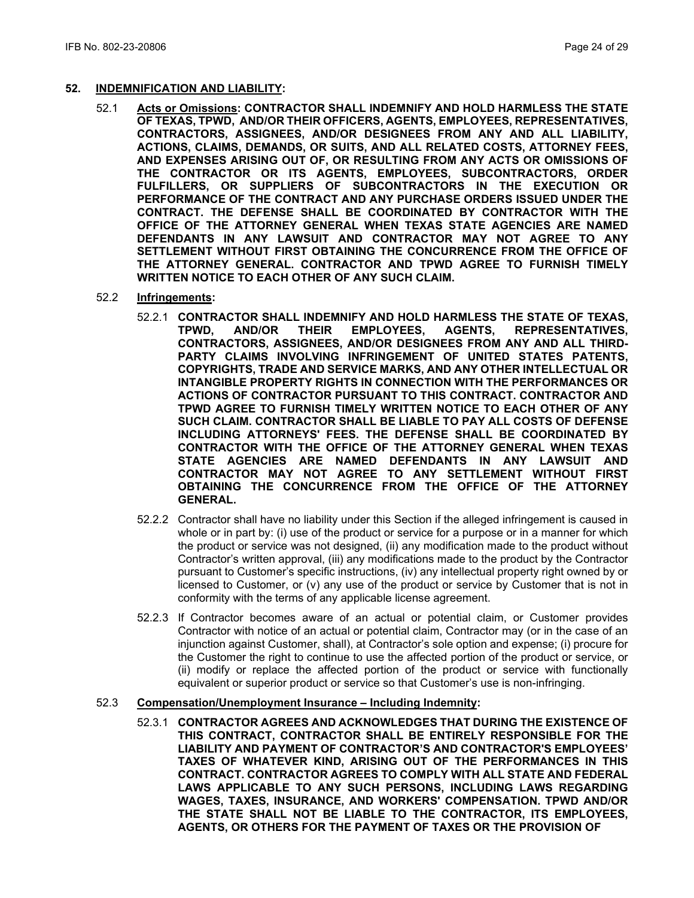#### **52. INDEMNIFICATION AND LIABILITY:**

- 52.1 **Acts or Omissions: CONTRACTOR SHALL INDEMNIFY AND HOLD HARMLESS THE STATE OF TEXAS, TPWD, AND/OR THEIR OFFICERS, AGENTS, EMPLOYEES, REPRESENTATIVES, CONTRACTORS, ASSIGNEES, AND/OR DESIGNEES FROM ANY AND ALL LIABILITY, ACTIONS, CLAIMS, DEMANDS, OR SUITS, AND ALL RELATED COSTS, ATTORNEY FEES, AND EXPENSES ARISING OUT OF, OR RESULTING FROM ANY ACTS OR OMISSIONS OF THE CONTRACTOR OR ITS AGENTS, EMPLOYEES, SUBCONTRACTORS, ORDER FULFILLERS, OR SUPPLIERS OF SUBCONTRACTORS IN THE EXECUTION OR PERFORMANCE OF THE CONTRACT AND ANY PURCHASE ORDERS ISSUED UNDER THE CONTRACT. THE DEFENSE SHALL BE COORDINATED BY CONTRACTOR WITH THE OFFICE OF THE ATTORNEY GENERAL WHEN TEXAS STATE AGENCIES ARE NAMED DEFENDANTS IN ANY LAWSUIT AND CONTRACTOR MAY NOT AGREE TO ANY SETTLEMENT WITHOUT FIRST OBTAINING THE CONCURRENCE FROM THE OFFICE OF THE ATTORNEY GENERAL. CONTRACTOR AND TPWD AGREE TO FURNISH TIMELY WRITTEN NOTICE TO EACH OTHER OF ANY SUCH CLAIM.**
- 52.2 **Infringements:** 
	- 52.2.1 **CONTRACTOR SHALL INDEMNIFY AND HOLD HARMLESS THE STATE OF TEXAS, REPRESENTATIVES, CONTRACTORS, ASSIGNEES, AND/OR DESIGNEES FROM ANY AND ALL THIRD-PARTY CLAIMS INVOLVING INFRINGEMENT OF UNITED STATES PATENTS, COPYRIGHTS, TRADE AND SERVICE MARKS, AND ANY OTHER INTELLECTUAL OR INTANGIBLE PROPERTY RIGHTS IN CONNECTION WITH THE PERFORMANCES OR ACTIONS OF CONTRACTOR PURSUANT TO THIS CONTRACT. CONTRACTOR AND TPWD AGREE TO FURNISH TIMELY WRITTEN NOTICE TO EACH OTHER OF ANY SUCH CLAIM. CONTRACTOR SHALL BE LIABLE TO PAY ALL COSTS OF DEFENSE INCLUDING ATTORNEYS' FEES. THE DEFENSE SHALL BE COORDINATED BY CONTRACTOR WITH THE OFFICE OF THE ATTORNEY GENERAL WHEN TEXAS STATE AGENCIES ARE NAMED DEFENDANTS IN ANY LAWSUIT AND CONTRACTOR MAY NOT AGREE TO ANY SETTLEMENT WITHOUT FIRST OBTAINING THE CONCURRENCE FROM THE OFFICE OF THE ATTORNEY GENERAL.**
	- 52.2.2 Contractor shall have no liability under this Section if the alleged infringement is caused in whole or in part by: (i) use of the product or service for a purpose or in a manner for which the product or service was not designed, (ii) any modification made to the product without Contractor's written approval, (iii) any modifications made to the product by the Contractor pursuant to Customer's specific instructions, (iv) any intellectual property right owned by or licensed to Customer, or (v) any use of the product or service by Customer that is not in conformity with the terms of any applicable license agreement.
	- 52.2.3 If Contractor becomes aware of an actual or potential claim, or Customer provides Contractor with notice of an actual or potential claim, Contractor may (or in the case of an injunction against Customer, shall), at Contractor's sole option and expense; (i) procure for the Customer the right to continue to use the affected portion of the product or service, or (ii) modify or replace the affected portion of the product or service with functionally equivalent or superior product or service so that Customer's use is non-infringing.

#### 52.3 **Compensation/Unemployment Insurance – Including Indemnity:**

52.3.1 **CONTRACTOR AGREES AND ACKNOWLEDGES THAT DURING THE EXISTENCE OF THIS CONTRACT, CONTRACTOR SHALL BE ENTIRELY RESPONSIBLE FOR THE LIABILITY AND PAYMENT OF CONTRACTOR'S AND CONTRACTOR'S EMPLOYEES' TAXES OF WHATEVER KIND, ARISING OUT OF THE PERFORMANCES IN THIS CONTRACT. CONTRACTOR AGREES TO COMPLY WITH ALL STATE AND FEDERAL LAWS APPLICABLE TO ANY SUCH PERSONS, INCLUDING LAWS REGARDING WAGES, TAXES, INSURANCE, AND WORKERS' COMPENSATION. TPWD AND/OR THE STATE SHALL NOT BE LIABLE TO THE CONTRACTOR, ITS EMPLOYEES, AGENTS, OR OTHERS FOR THE PAYMENT OF TAXES OR THE PROVISION OF**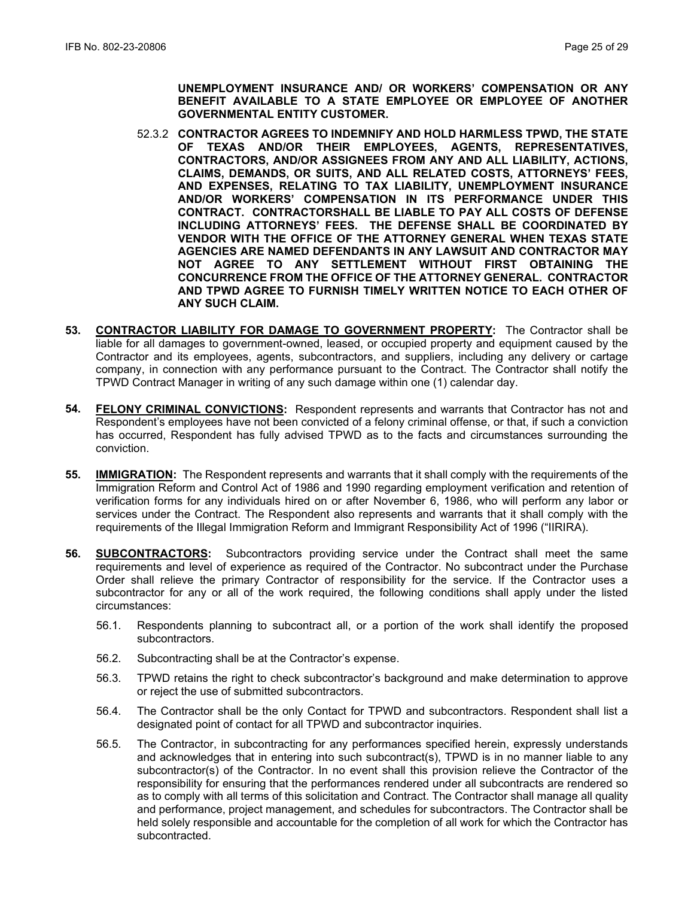**UNEMPLOYMENT INSURANCE AND/ OR WORKERS' COMPENSATION OR ANY BENEFIT AVAILABLE TO A STATE EMPLOYEE OR EMPLOYEE OF ANOTHER GOVERNMENTAL ENTITY CUSTOMER.**

- 52.3.2 **CONTRACTOR AGREES TO INDEMNIFY AND HOLD HARMLESS TPWD, THE STATE OF TEXAS AND/OR THEIR EMPLOYEES, AGENTS, REPRESENTATIVES, CONTRACTORS, AND/OR ASSIGNEES FROM ANY AND ALL LIABILITY, ACTIONS, CLAIMS, DEMANDS, OR SUITS, AND ALL RELATED COSTS, ATTORNEYS' FEES, AND EXPENSES, RELATING TO TAX LIABILITY, UNEMPLOYMENT INSURANCE AND/OR WORKERS' COMPENSATION IN ITS PERFORMANCE UNDER THIS CONTRACT. CONTRACTORSHALL BE LIABLE TO PAY ALL COSTS OF DEFENSE INCLUDING ATTORNEYS' FEES. THE DEFENSE SHALL BE COORDINATED BY VENDOR WITH THE OFFICE OF THE ATTORNEY GENERAL WHEN TEXAS STATE AGENCIES ARE NAMED DEFENDANTS IN ANY LAWSUIT AND CONTRACTOR MAY NOT AGREE TO ANY SETTLEMENT WITHOUT FIRST OBTAINING THE CONCURRENCE FROM THE OFFICE OF THE ATTORNEY GENERAL. CONTRACTOR AND TPWD AGREE TO FURNISH TIMELY WRITTEN NOTICE TO EACH OTHER OF ANY SUCH CLAIM.**
- **53. CONTRACTOR LIABILITY FOR DAMAGE TO GOVERNMENT PROPERTY:** The Contractor shall be liable for all damages to government-owned, leased, or occupied property and equipment caused by the Contractor and its employees, agents, subcontractors, and suppliers, including any delivery or cartage company, in connection with any performance pursuant to the Contract. The Contractor shall notify the TPWD Contract Manager in writing of any such damage within one (1) calendar day.
- **54. FELONY CRIMINAL CONVICTIONS:** Respondent represents and warrants that Contractor has not and Respondent's employees have not been convicted of a felony criminal offense, or that, if such a conviction has occurred, Respondent has fully advised TPWD as to the facts and circumstances surrounding the conviction.
- **55. IMMIGRATION:** The Respondent represents and warrants that it shall comply with the requirements of the Immigration Reform and Control Act of 1986 and 1990 regarding employment verification and retention of verification forms for any individuals hired on or after November 6, 1986, who will perform any labor or services under the Contract. The Respondent also represents and warrants that it shall comply with the requirements of the Illegal Immigration Reform and Immigrant Responsibility Act of 1996 ("IIRIRA).
- **56. SUBCONTRACTORS:** Subcontractors providing service under the Contract shall meet the same requirements and level of experience as required of the Contractor. No subcontract under the Purchase Order shall relieve the primary Contractor of responsibility for the service. If the Contractor uses a subcontractor for any or all of the work required, the following conditions shall apply under the listed circumstances:
	- 56.1. Respondents planning to subcontract all, or a portion of the work shall identify the proposed subcontractors.
	- 56.2. Subcontracting shall be at the Contractor's expense.
	- 56.3. TPWD retains the right to check subcontractor's background and make determination to approve or reject the use of submitted subcontractors.
	- 56.4. The Contractor shall be the only Contact for TPWD and subcontractors. Respondent shall list a designated point of contact for all TPWD and subcontractor inquiries.
	- 56.5. The Contractor, in subcontracting for any performances specified herein, expressly understands and acknowledges that in entering into such subcontract(s), TPWD is in no manner liable to any subcontractor(s) of the Contractor. In no event shall this provision relieve the Contractor of the responsibility for ensuring that the performances rendered under all subcontracts are rendered so as to comply with all terms of this solicitation and Contract. The Contractor shall manage all quality and performance, project management, and schedules for subcontractors. The Contractor shall be held solely responsible and accountable for the completion of all work for which the Contractor has subcontracted.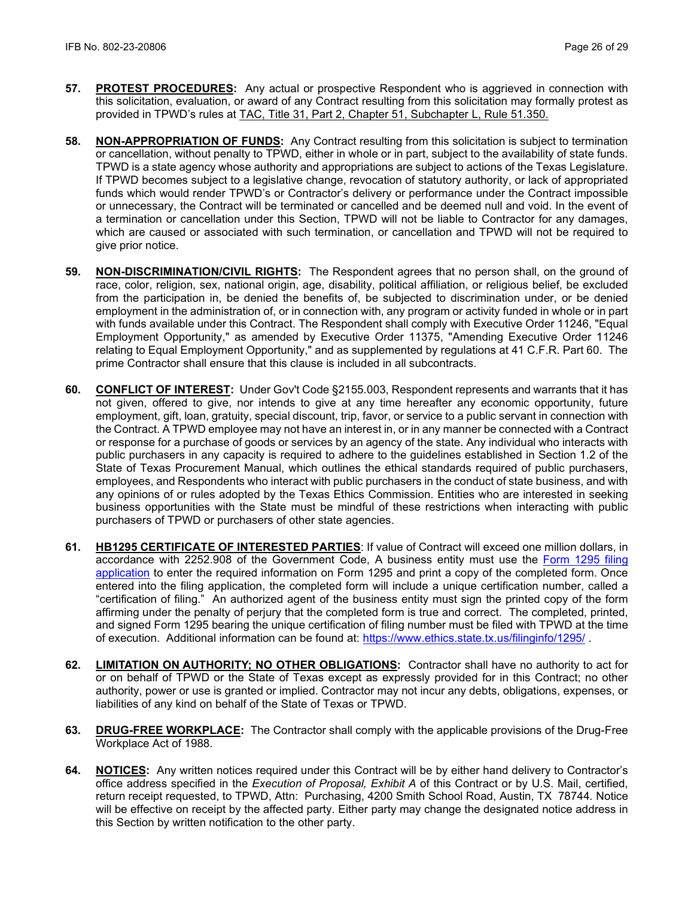- **57. PROTEST PROCEDURES:** Any actual or prospective Respondent who is aggrieved in connection with this solicitation, evaluation, or award of any Contract resulting from this solicitation may formally protest as provided in TPWD's rules at [TAC, Title 31, Part 2, Chapter 51, Subchapter L, Rule 51.350.](http://texreg.sos.state.tx.us/public/readtac$ext.TacPage?sl=R&app=9&p_dir=&p_rloc=&p_tloc=&p_ploc=&pg=1&p_tac=&ti=31&pt=2&ch=51&rl=350)
- **58. NON-APPROPRIATION OF FUNDS:** Any Contract resulting from this solicitation is subject to termination or cancellation, without penalty to TPWD, either in whole or in part, subject to the availability of state funds. TPWD is a state agency whose authority and appropriations are subject to actions of the Texas Legislature. If TPWD becomes subject to a legislative change, revocation of statutory authority, or lack of appropriated funds which would render TPWD's or Contractor's delivery or performance under the Contract impossible or unnecessary, the Contract will be terminated or cancelled and be deemed null and void. In the event of a termination or cancellation under this Section, TPWD will not be liable to Contractor for any damages, which are caused or associated with such termination, or cancellation and TPWD will not be required to give prior notice.
- **59. NON-DISCRIMINATION/CIVIL RIGHTS:** The Respondent agrees that no person shall, on the ground of race, color, religion, sex, national origin, age, disability, political affiliation, or religious belief, be excluded from the participation in, be denied the benefits of, be subjected to discrimination under, or be denied employment in the administration of, or in connection with, any program or activity funded in whole or in part with funds available under this Contract. The Respondent shall comply with Executive Order 11246, "Equal Employment Opportunity," as amended by Executive Order 11375, "Amending Executive Order 11246 relating to Equal Employment Opportunity," and as supplemented by regulations at 41 C.F.R. Part 60. The prime Contractor shall ensure that this clause is included in all subcontracts.
- **60. CONFLICT OF INTEREST:** Under Gov't Code §2155.003, Respondent represents and warrants that it has not given, offered to give, nor intends to give at any time hereafter any economic opportunity, future employment, gift, loan, gratuity, special discount, trip, favor, or service to a public servant in connection with the Contract. A TPWD employee may not have an interest in, or in any manner be connected with a Contract or response for a purchase of goods or services by an agency of the state. Any individual who interacts with public purchasers in any capacity is required to adhere to the guidelines established in Section 1.2 of the State of Texas Procurement Manual, which outlines the ethical standards required of public purchasers, employees, and Respondents who interact with public purchasers in the conduct of state business, and with any opinions of or rules adopted by the Texas Ethics Commission. Entities who are interested in seeking business opportunities with the State must be mindful of these restrictions when interacting with public purchasers of TPWD or purchasers of other state agencies.
- **61. HB1295 CERTIFICATE OF INTERESTED PARTIES**: If value of Contract will exceed one million dollars, in accordance with 2252.908 of the Government Code, A business entity must use the [Form 1295 filing](https://www.ethics.state.tx.us/whatsnew/elf_info_form1295.htm)  [application](https://www.ethics.state.tx.us/whatsnew/elf_info_form1295.htm) to enter the required information on Form 1295 and print a copy of the completed form. Once entered into the filing application, the completed form will include a unique certification number, called a "certification of filing." An authorized agent of the business entity must sign the printed copy of the form affirming under the penalty of perjury that the completed form is true and correct. The completed, printed, and signed Form 1295 bearing the unique certification of filing number must be filed with TPWD at the time of execution. Additional information can be found at:<https://www.ethics.state.tx.us/filinginfo/1295/> .
- **62. LIMITATION ON AUTHORITY; NO OTHER OBLIGATIONS:** Contractor shall have no authority to act for or on behalf of TPWD or the State of Texas except as expressly provided for in this Contract; no other authority, power or use is granted or implied. Contractor may not incur any debts, obligations, expenses, or liabilities of any kind on behalf of the State of Texas or TPWD.
- **63. DRUG-FREE WORKPLACE:** The Contractor shall comply with the applicable provisions of the Drug-Free Workplace Act of 1988.
- **64. NOTICES:** Any written notices required under this Contract will be by either hand delivery to Contractor's office address specified in the *Execution of Proposal, Exhibit A* of this Contract or by U.S. Mail, certified, return receipt requested, to TPWD, Attn: Purchasing, 4200 Smith School Road, Austin, TX 78744*.* Notice will be effective on receipt by the affected party. Either party may change the designated notice address in this Section by written notification to the other party.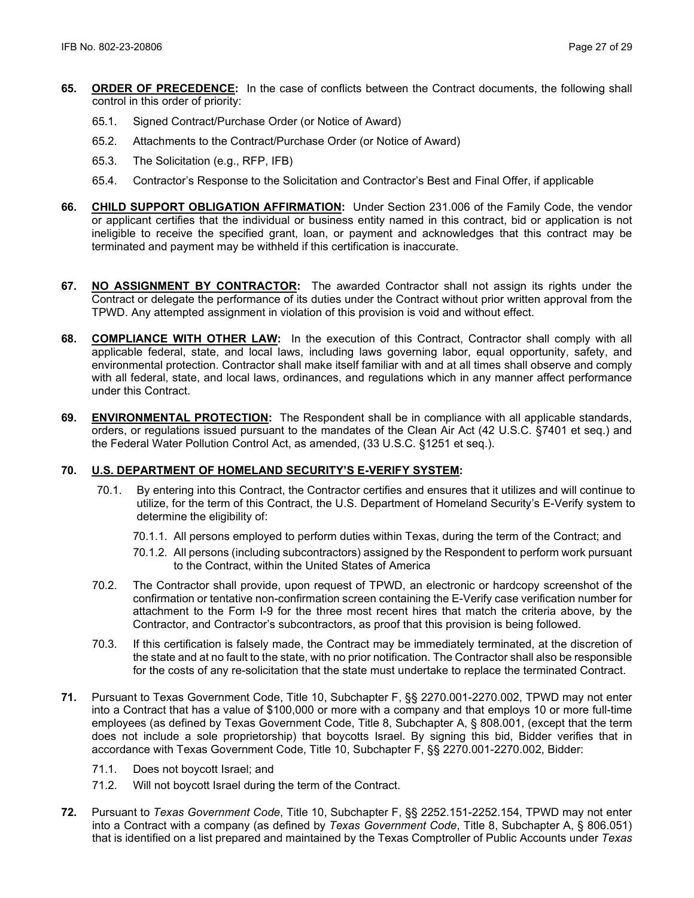- **65. ORDER OF PRECEDENCE:** In the case of conflicts between the Contract documents, the following shall control in this order of priority:
	- 65.1. Signed Contract/Purchase Order (or Notice of Award)
	- 65.2. Attachments to the Contract/Purchase Order (or Notice of Award)
	- 65.3. The Solicitation (e.g., RFP, IFB)
	- 65.4. Contractor's Response to the Solicitation and Contractor's Best and Final Offer, if applicable
- **66. CHILD SUPPORT OBLIGATION AFFIRMATION:** Under Section 231.006 of the Family Code, the vendor or applicant certifies that the individual or business entity named in this contract, bid or application is not ineligible to receive the specified grant, loan, or payment and acknowledges that this contract may be terminated and payment may be withheld if this certification is inaccurate.
- **67. NO ASSIGNMENT BY CONTRACTOR:** The awarded Contractor shall not assign its rights under the Contract or delegate the performance of its duties under the Contract without prior written approval from the TPWD. Any attempted assignment in violation of this provision is void and without effect.
- **68. COMPLIANCE WITH OTHER LAW:** In the execution of this Contract, Contractor shall comply with all applicable federal, state, and local laws, including laws governing labor, equal opportunity, safety, and environmental protection. Contractor shall make itself familiar with and at all times shall observe and comply with all federal, state, and local laws, ordinances, and regulations which in any manner affect performance under this Contract.
- **69. ENVIRONMENTAL PROTECTION:** The Respondent shall be in compliance with all applicable standards, orders, or regulations issued pursuant to the mandates of the Clean Air Act (42 U.S.C. §7401 et seq.) and the Federal Water Pollution Control Act, as amended, (33 U.S.C. §1251 et seq.).

## **70. U.S. DEPARTMENT OF HOMELAND SECURITY'S E-VERIFY SYSTEM:**

- 70.1. By entering into this Contract, the Contractor certifies and ensures that it utilizes and will continue to utilize, for the term of this Contract, the U.S. Department of Homeland Security's E-Verify system to determine the eligibility of:
	- 70.1.1. All persons employed to perform duties within Texas, during the term of the Contract; and
	- 70.1.2. All persons (including subcontractors) assigned by the Respondent to perform work pursuant to the Contract, within the United States of America
- 70.2. The Contractor shall provide, upon request of TPWD, an electronic or hardcopy screenshot of the confirmation or tentative non-confirmation screen containing the E-Verify case verification number for attachment to the Form I-9 for the three most recent hires that match the criteria above, by the Contractor, and Contractor's subcontractors, as proof that this provision is being followed.
- 70.3. If this certification is falsely made, the Contract may be immediately terminated, at the discretion of the state and at no fault to the state, with no prior notification. The Contractor shall also be responsible for the costs of any re-solicitation that the state must undertake to replace the terminated Contract.
- **71.** Pursuant to Texas Government Code, Title 10, Subchapter F, §§ 2270.001-2270.002, TPWD may not enter into a Contract that has a value of \$100,000 or more with a company and that employs 10 or more full-time employees (as defined by Texas Government Code, Title 8, Subchapter A, § 808.001, (except that the term does not include a sole proprietorship) that boycotts Israel. By signing this bid, Bidder verifies that in accordance with Texas Government Code, Title 10, Subchapter F, §§ 2270.001-2270.002, Bidder:
	- 71.1. Does not boycott Israel; and
	- 71.2. Will not boycott Israel during the term of the Contract.
- **72.** Pursuant to *Texas Government Code*, Title 10, Subchapter F, §§ 2252.151-2252.154, TPWD may not enter into a Contract with a company (as defined by *Texas Government Code*, Title 8, Subchapter A, § 806.051) that is identified on a list prepared and maintained by the Texas Comptroller of Public Accounts under *Texas*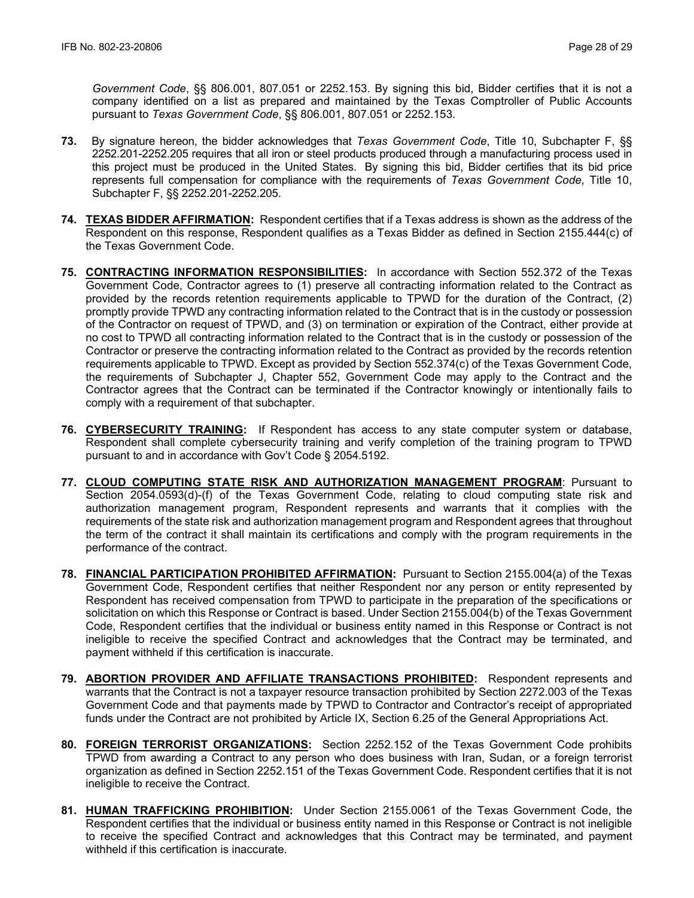*Government Code*, §§ 806.001, 807.051 or 2252.153. By signing this bid, Bidder certifies that it is not a company identified on a list as prepared and maintained by the Texas Comptroller of Public Accounts pursuant to *Texas Government Code*, §§ 806.001, 807.051 or 2252.153.

- **73.** By signature hereon, the bidder acknowledges that *Texas Government Code*, Title 10, Subchapter F, §§ 2252.201-2252.205 requires that all iron or steel products produced through a manufacturing process used in this project must be produced in the United States. By signing this bid, Bidder certifies that its bid price represents full compensation for compliance with the requirements of *Texas Government Code*, Title 10, Subchapter F, §§ 2252.201-2252.205.
- **74. TEXAS BIDDER AFFIRMATION:** Respondent certifies that if a Texas address is shown as the address of the Respondent on this response, Respondent qualifies as a Texas Bidder as defined in Section 2155.444(c) of the Texas Government Code.
- **75. CONTRACTING INFORMATION RESPONSIBILITIES:** In accordance with Section 552.372 of the Texas Government Code, Contractor agrees to (1) preserve all contracting information related to the Contract as provided by the records retention requirements applicable to TPWD for the duration of the Contract, (2) promptly provide TPWD any contracting information related to the Contract that is in the custody or possession of the Contractor on request of TPWD, and (3) on termination or expiration of the Contract, either provide at no cost to TPWD all contracting information related to the Contract that is in the custody or possession of the Contractor or preserve the contracting information related to the Contract as provided by the records retention requirements applicable to TPWD. Except as provided by Section 552.374(c) of the Texas Government Code, the requirements of Subchapter J, Chapter 552, Government Code may apply to the Contract and the Contractor agrees that the Contract can be terminated if the Contractor knowingly or intentionally fails to comply with a requirement of that subchapter.
- **76. CYBERSECURITY TRAINING:** If Respondent has access to any state computer system or database, Respondent shall complete cybersecurity training and verify completion of the training program to TPWD pursuant to and in accordance with Gov't Code § 2054.5192.
- **77. CLOUD COMPUTING STATE RISK AND AUTHORIZATION MANAGEMENT PROGRAM**: Pursuant to Section 2054.0593(d)-(f) of the Texas Government Code, relating to cloud computing state risk and authorization management program, Respondent represents and warrants that it complies with the requirements of the state risk and authorization management program and Respondent agrees that throughout the term of the contract it shall maintain its certifications and comply with the program requirements in the performance of the contract.
- **78. FINANCIAL PARTICIPATION PROHIBITED AFFIRMATION:** Pursuant to Section 2155.004(a) of the Texas Government Code, Respondent certifies that neither Respondent nor any person or entity represented by Respondent has received compensation from TPWD to participate in the preparation of the specifications or solicitation on which this Response or Contract is based. Under Section 2155.004(b) of the Texas Government Code, Respondent certifies that the individual or business entity named in this Response or Contract is not ineligible to receive the specified Contract and acknowledges that the Contract may be terminated, and payment withheld if this certification is inaccurate.
- **79. ABORTION PROVIDER AND AFFILIATE TRANSACTIONS PROHIBITED:** Respondent represents and warrants that the Contract is not a taxpayer resource transaction prohibited by Section 2272.003 of the Texas Government Code and that payments made by TPWD to Contractor and Contractor's receipt of appropriated funds under the Contract are not prohibited by Article IX, Section 6.25 of the General Appropriations Act.
- **80. FOREIGN TERRORIST ORGANIZATIONS:** Section 2252.152 of the Texas Government Code prohibits TPWD from awarding a Contract to any person who does business with Iran, Sudan, or a foreign terrorist organization as defined in Section 2252.151 of the Texas Government Code. Respondent certifies that it is not ineligible to receive the Contract.
- **81. HUMAN TRAFFICKING PROHIBITION:** Under Section 2155.0061 of the Texas Government Code, the Respondent certifies that the individual or business entity named in this Response or Contract is not ineligible to receive the specified Contract and acknowledges that this Contract may be terminated, and payment withheld if this certification is inaccurate.